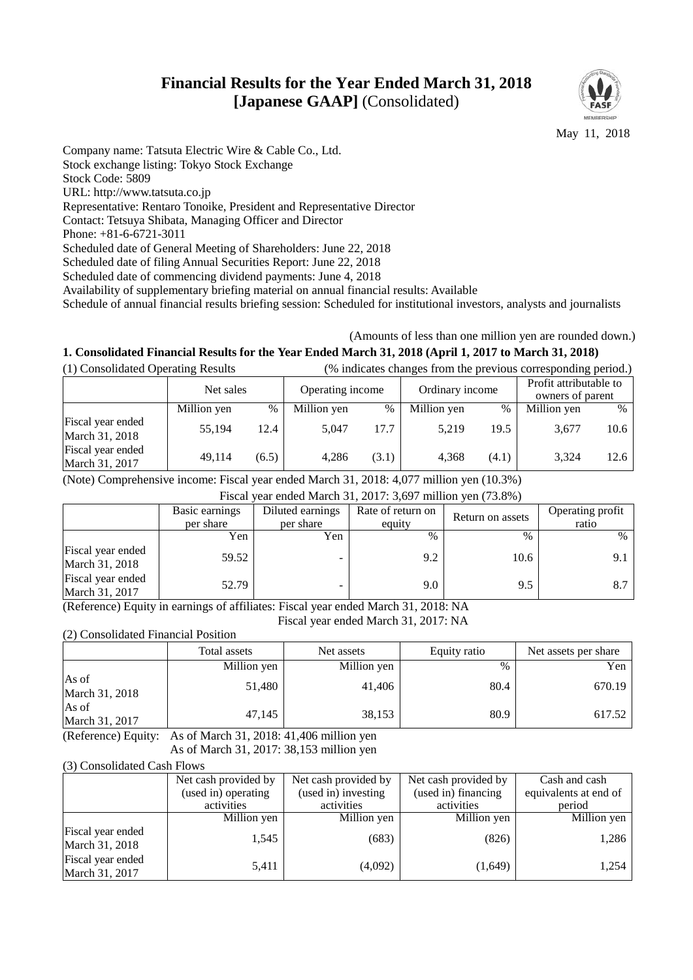# **Financial Results for the Year Ended March 31, 2018 [Japanese GAAP]** (Consolidated)



May 11, 2018

Company name: Tatsuta Electric Wire & Cable Co., Ltd.

Stock exchange listing: Tokyo Stock Exchange

Stock Code: 5809

URL: http://www.tatsuta.co.jp

Representative: Rentaro Tonoike, President and Representative Director

Contact: Tetsuya Shibata, Managing Officer and Director

Phone: +81-6-6721-3011

Scheduled date of General Meeting of Shareholders: June 22, 2018

Scheduled date of filing Annual Securities Report: June 22, 2018

Scheduled date of commencing dividend payments: June 4, 2018

Availability of supplementary briefing material on annual financial results: Available

Schedule of annual financial results briefing session: Scheduled for institutional investors, analysts and journalists

## (Amounts of less than one million yen are rounded down.)

# **1. Consolidated Financial Results for the Year Ended March 31, 2018 (April 1, 2017 to March 31, 2018)**

(1) Consolidated Operating Results (% indicates changes from the previous corresponding period.)

|                                     | Net sales   |       | Operating income |               | Ordinary income |       | Profit attributable to<br>owners of parent |      |
|-------------------------------------|-------------|-------|------------------|---------------|-----------------|-------|--------------------------------------------|------|
|                                     | Million yen | $\%$  | Million yen      | $\frac{0}{0}$ | Million yen     | $\%$  | Million yen                                | $\%$ |
| Fiscal year ended<br>March 31, 2018 | 55.194      | 12.4  | 5.047            | 17.7          | 5.219           | 19.5  | 3.677                                      | 10.6 |
| Fiscal year ended<br>March 31, 2017 | 49.114      | (6.5) | 4.286            | (3.1)         | 4,368           | (4.1) | 3.324                                      | 12.6 |

(Note) Comprehensive income: Fiscal year ended March 31, 2018: 4,077 million yen (10.3%)

|  | Fiscal year ended March 31, 2017: 3,697 million yen (73.8%) |
|--|-------------------------------------------------------------|
|  |                                                             |

|                                     | Basic earnings<br>per share | Diluted earnings<br>per share | Rate of return on<br>equity | Return on assets | Operating profit<br>ratio |
|-------------------------------------|-----------------------------|-------------------------------|-----------------------------|------------------|---------------------------|
|                                     | Yen                         | Yen                           | $\%$                        | $\%$             | $\%$                      |
| Fiscal year ended<br>March 31, 2018 | 59.52                       | -                             | 9.2                         | 10.6             |                           |
| Fiscal year ended<br>March 31, 2017 | 52.79                       | -                             | 9.0                         | 9.5              |                           |

(Reference) Equity in earnings of affiliates: Fiscal year ended March 31, 2018: NA

Fiscal year ended March 31, 2017: NA

(2) Consolidated Financial Position

|                         | Total assets | Net assets  | Equity ratio | Net assets per share |
|-------------------------|--------------|-------------|--------------|----------------------|
|                         | Million yen  | Million yen | $\%$         | Yen                  |
| As of<br>March 31, 2018 | 51,480       | 41,406      | 80.4         | 670.19               |
| As of<br>March 31, 2017 | 47,145       | 38,153      | 80.9         | 617.52               |

(Reference) Equity: As of March 31, 2018: 41,406 million yen As of March 31, 2017: 38,153 million yen

## (3) Consolidated Cash Flows

|                                     | Net cash provided by | Net cash provided by | Net cash provided by | Cash and cash         |
|-------------------------------------|----------------------|----------------------|----------------------|-----------------------|
|                                     | (used in) operating  | (used in) investing  | (used in) financing  | equivalents at end of |
|                                     | activities           | activities           | activities           | period                |
|                                     | Million yen          | Million yen          | Million yen          | Million yen           |
| Fiscal year ended<br>March 31, 2018 | 1,545                | (683)                | (826)                | 1,286                 |
| Fiscal year ended<br>March 31, 2017 | 5,411                | (4,092)              | (1,649)              | 1,254                 |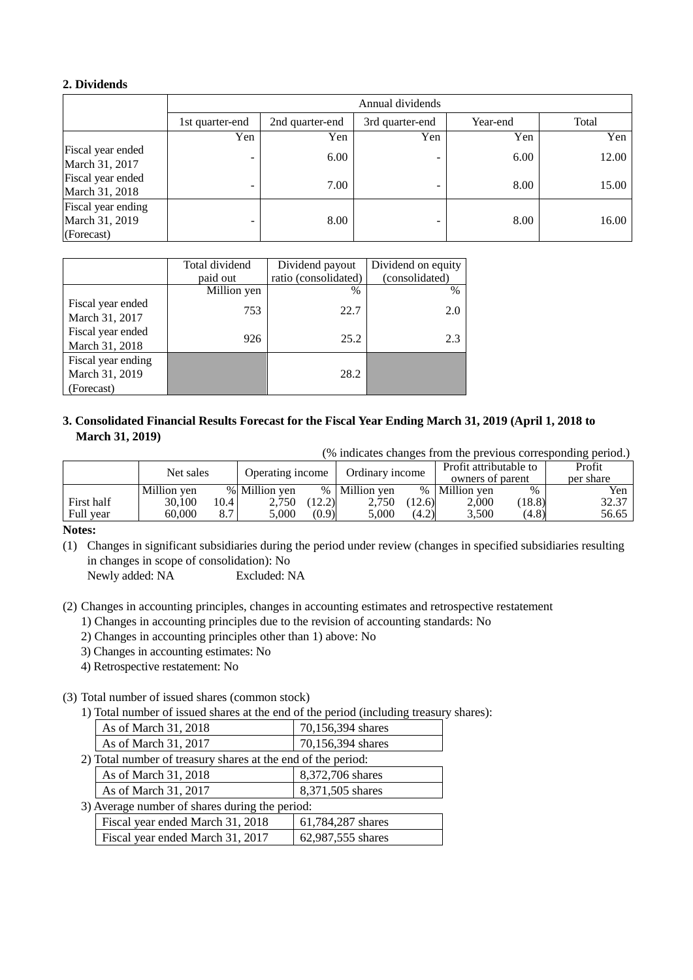## **2. Dividends**

|                                                    |                 | Annual dividends |                 |          |       |  |  |  |
|----------------------------------------------------|-----------------|------------------|-----------------|----------|-------|--|--|--|
|                                                    | 1st quarter-end | 2nd quarter-end  | 3rd quarter-end | Year-end | Total |  |  |  |
|                                                    | Yen             | Yen              | Yen             | Yen      | Yen   |  |  |  |
| Fiscal year ended<br>March 31, 2017                | -               | 6.00             | -               | 6.00     | 12.00 |  |  |  |
| Fiscal year ended<br>March 31, 2018                | -               | 7.00             | -               | 8.00     | 15.00 |  |  |  |
| Fiscal year ending<br>March 31, 2019<br>(Forecast) |                 | 8.00             |                 | 8.00     | 16.00 |  |  |  |

|                    | Total dividend | Dividend payout      | Dividend on equity |
|--------------------|----------------|----------------------|--------------------|
|                    | paid out       | ratio (consolidated) | (consolidated)     |
|                    | Million yen    | $\%$                 | $\%$               |
| Fiscal year ended  | 753            | 22.7                 | 2.0                |
| March 31, 2017     |                |                      |                    |
| Fiscal year ended  | 926            | 25.2                 | 2.3                |
| March 31, 2018     |                |                      |                    |
| Fiscal year ending |                |                      |                    |
| March 31, 2019     |                | 28.2                 |                    |
| (Forecast)         |                |                      |                    |

## **3. Consolidated Financial Results Forecast for the Fiscal Year Ending March 31, 2019 (April 1, 2018 to March 31, 2019)**

(% indicates changes from the previous corresponding period.)

|            | Net sales<br>Operating income |      |               | Ordinary income |             | Profit attributable to<br>owners of parent |             | Profit<br>per share |       |
|------------|-------------------------------|------|---------------|-----------------|-------------|--------------------------------------------|-------------|---------------------|-------|
|            | Million ven                   |      | % Million ven | $\%$            | Million ven | $\%$                                       | Million ven | $\%$                | Yen   |
| First half | 30,100                        | 10.4 | 2.750         | 12.2)           | 2,750       | (12.6)                                     | 2.000       | (18.8)              | 32.37 |
| Full year  | 60.000                        | 8.7  | 5.000         | (0.9)           | 5.000       | (4.2)                                      | 3.500       | (4.8)               | 56.65 |

**Notes:**

(1) Changes in significant subsidiaries during the period under review (changes in specified subsidiaries resulting in changes in scope of consolidation): No

Newly added: NA Excluded: NA

(2) Changes in accounting principles, changes in accounting estimates and retrospective restatement

- 1) Changes in accounting principles due to the revision of accounting standards: No
- 2) Changes in accounting principles other than 1) above: No
- 3) Changes in accounting estimates: No
- 4) Retrospective restatement: No

(3) Total number of issued shares (common stock)

1) Total number of issued shares at the end of the period (including treasury shares):

| As of March 31, 2018 | $70,156,394$ shares        |
|----------------------|----------------------------|
| As of March 31, 2017 | $\sqrt{70,156,394}$ shares |
| __                   |                            |

2) Total number of treasury shares at the end of the period:

| As of March 31, 2018                           | $8,372,706$ shares |
|------------------------------------------------|--------------------|
| As of March 31, 2017                           | 8,371,505 shares   |
| 3) Average number of shares during the period: |                    |

| $\sigma$ ) is verified number of shares during the period. |                   |  |  |  |
|------------------------------------------------------------|-------------------|--|--|--|
| Fiscal year ended March 31, 2018                           | 61,784,287 shares |  |  |  |
| Fiscal year ended March 31, 2017                           | 62,987,555 shares |  |  |  |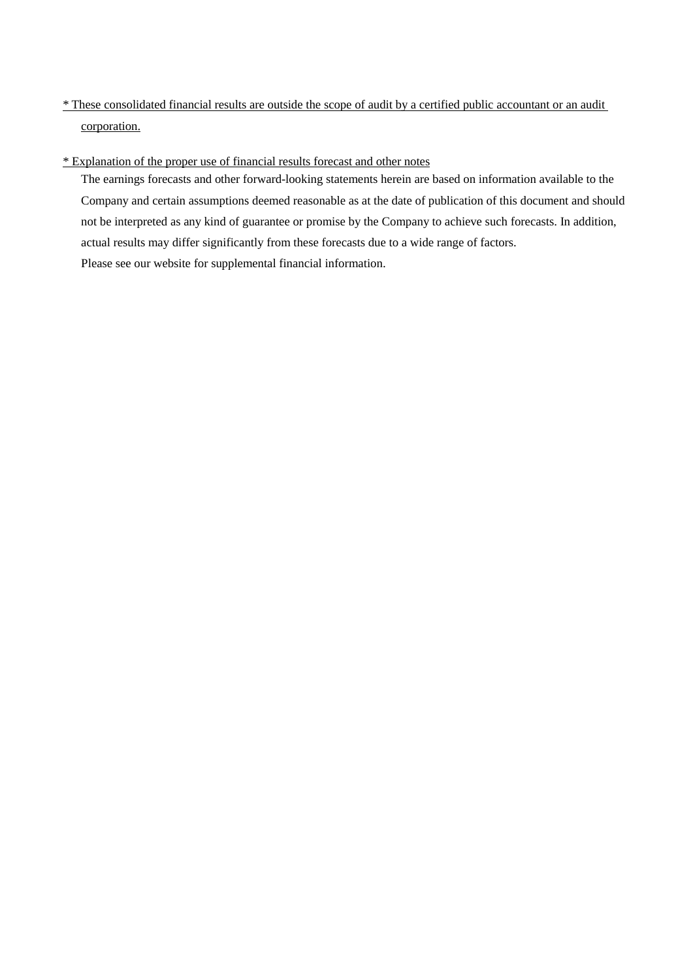- \* These consolidated financial results are outside the scope of audit by a certified public accountant or an audit corporation.
- \* Explanation of the proper use of financial results forecast and other notes

The earnings forecasts and other forward-looking statements herein are based on information available to the Company and certain assumptions deemed reasonable as at the date of publication of this document and should not be interpreted as any kind of guarantee or promise by the Company to achieve such forecasts. In addition, actual results may differ significantly from these forecasts due to a wide range of factors. Please see our website for supplemental financial information.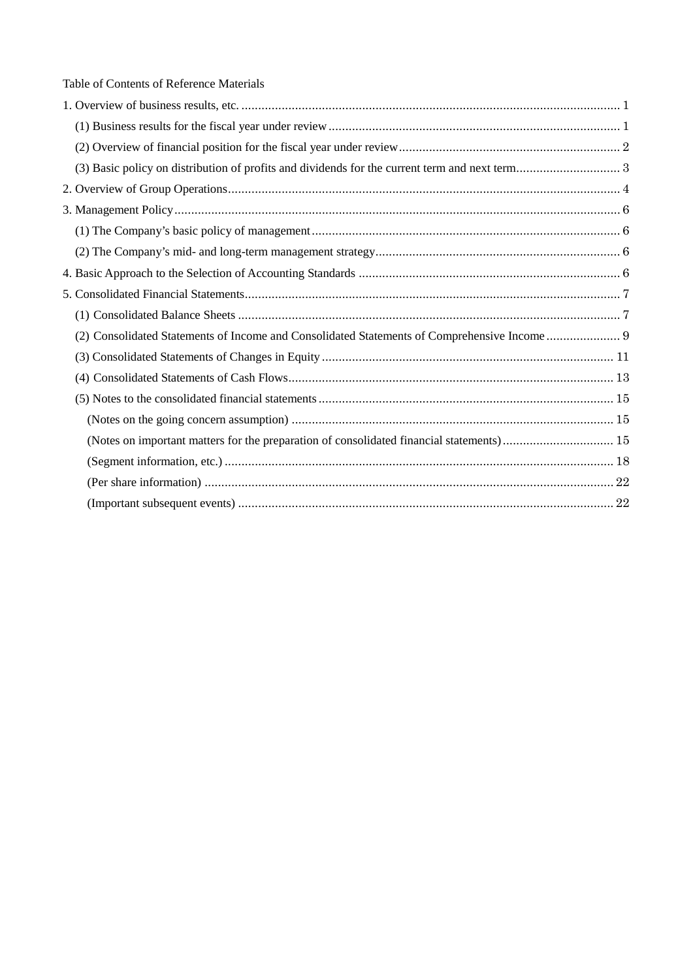| Table of Contents of Reference Materials                                                    |  |
|---------------------------------------------------------------------------------------------|--|
|                                                                                             |  |
|                                                                                             |  |
|                                                                                             |  |
|                                                                                             |  |
|                                                                                             |  |
|                                                                                             |  |
|                                                                                             |  |
|                                                                                             |  |
|                                                                                             |  |
|                                                                                             |  |
|                                                                                             |  |
| (2) Consolidated Statements of Income and Consolidated Statements of Comprehensive Income 9 |  |
|                                                                                             |  |
|                                                                                             |  |
|                                                                                             |  |
|                                                                                             |  |
| (Notes on important matters for the preparation of consolidated financial statements) 15    |  |
|                                                                                             |  |
|                                                                                             |  |
|                                                                                             |  |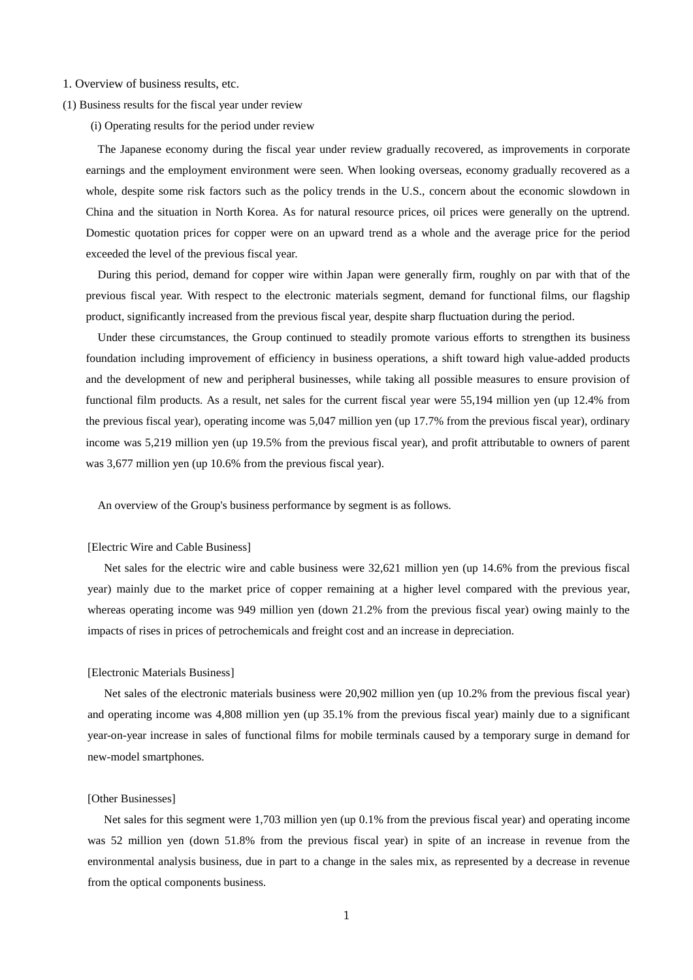<span id="page-4-0"></span>1. Overview of business results, etc.

#### <span id="page-4-1"></span>(1) Business results for the fiscal year under review

(i) Operating results for the period under review

The Japanese economy during the fiscal year under review gradually recovered, as improvements in corporate earnings and the employment environment were seen. When looking overseas, economy gradually recovered as a whole, despite some risk factors such as the policy trends in the U.S., concern about the economic slowdown in China and the situation in North Korea. As for natural resource prices, oil prices were generally on the uptrend. Domestic quotation prices for copper were on an upward trend as a whole and the average price for the period exceeded the level of the previous fiscal year.

During this period, demand for copper wire within Japan were generally firm, roughly on par with that of the previous fiscal year. With respect to the electronic materials segment, demand for functional films, our flagship product, significantly increased from the previous fiscal year, despite sharp fluctuation during the period.

Under these circumstances, the Group continued to steadily promote various efforts to strengthen its business foundation including improvement of efficiency in business operations, a shift toward high value-added products and the development of new and peripheral businesses, while taking all possible measures to ensure provision of functional film products. As a result, net sales for the current fiscal year were 55,194 million yen (up 12.4% from the previous fiscal year), operating income was 5,047 million yen (up 17.7% from the previous fiscal year), ordinary income was 5,219 million yen (up 19.5% from the previous fiscal year), and profit attributable to owners of parent was 3,677 million yen (up 10.6% from the previous fiscal year).

An overview of the Group's business performance by segment is as follows.

### [Electric Wire and Cable Business]

Net sales for the electric wire and cable business were 32,621 million yen (up 14.6% from the previous fiscal year) mainly due to the market price of copper remaining at a higher level compared with the previous year, whereas operating income was 949 million yen (down 21.2% from the previous fiscal year) owing mainly to the impacts of rises in prices of petrochemicals and freight cost and an increase in depreciation.

#### [Electronic Materials Business]

Net sales of the electronic materials business were 20,902 million yen (up 10.2% from the previous fiscal year) and operating income was 4,808 million yen (up 35.1% from the previous fiscal year) mainly due to a significant year-on-year increase in sales of functional films for mobile terminals caused by a temporary surge in demand for new-model smartphones.

### [Other Businesses]

Net sales for this segment were 1,703 million yen (up 0.1% from the previous fiscal year) and operating income was 52 million yen (down 51.8% from the previous fiscal year) in spite of an increase in revenue from the environmental analysis business, due in part to a change in the sales mix, as represented by a decrease in revenue from the optical components business.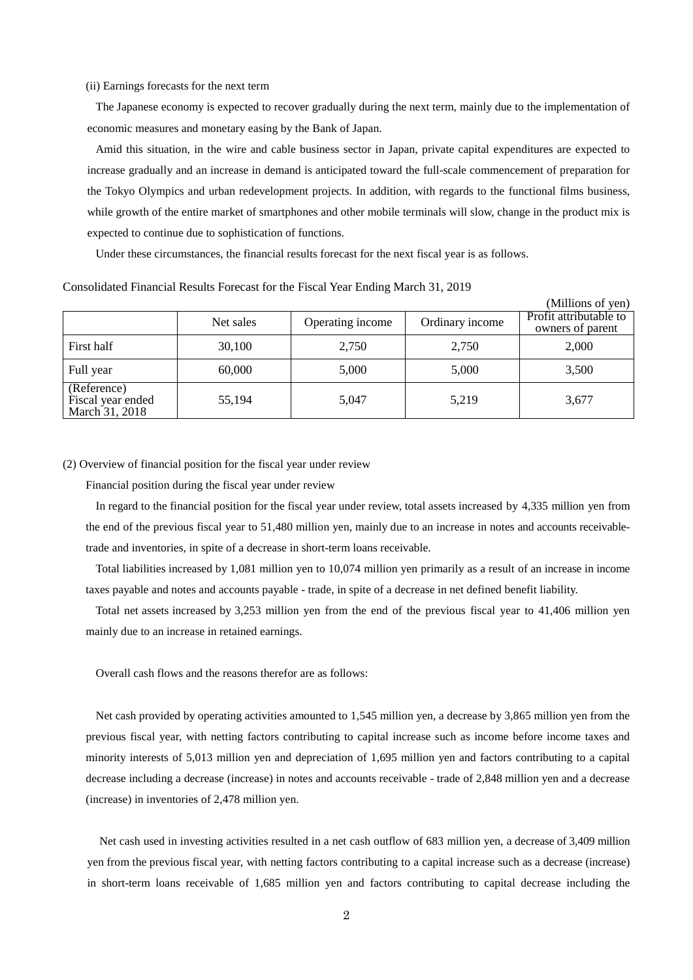#### (ii) Earnings forecasts for the next term

The Japanese economy is expected to recover gradually during the next term, mainly due to the implementation of economic measures and monetary easing by the Bank of Japan.

Amid this situation, in the wire and cable business sector in Japan, private capital expenditures are expected to increase gradually and an increase in demand is anticipated toward the full-scale commencement of preparation for the Tokyo Olympics and urban redevelopment projects. In addition, with regards to the functional films business, while growth of the entire market of smartphones and other mobile terminals will slow, change in the product mix is expected to continue due to sophistication of functions.

Under these circumstances, the financial results forecast for the next fiscal year is as follows.

|                                                    |           |                  |                 | (Millions of yen)                          |
|----------------------------------------------------|-----------|------------------|-----------------|--------------------------------------------|
|                                                    | Net sales | Operating income | Ordinary income | Profit attributable to<br>owners of parent |
| First half                                         | 30,100    | 2,750            | 2,750           | 2,000                                      |
| Full year                                          | 60,000    | 5,000            | 5,000           | 3,500                                      |
| (Reference)<br>Fiscal year ended<br>March 31, 2018 | 55,194    | 5,047            | 5,219           | 3,677                                      |

### Consolidated Financial Results Forecast for the Fiscal Year Ending March 31, 2019

### <span id="page-5-0"></span>(2) Overview of financial position for the fiscal year under review

Financial position during the fiscal year under review

In regard to the financial position for the fiscal year under review, total assets increased by 4,335 million yen from the end of the previous fiscal year to 51,480 million yen, mainly due to an increase in notes and accounts receivabletrade and inventories, in spite of a decrease in short-term loans receivable.

Total liabilities increased by 1,081 million yen to 10,074 million yen primarily as a result of an increase in income taxes payable and notes and accounts payable - trade, in spite of a decrease in net defined benefit liability.

Total net assets increased by 3,253 million yen from the end of the previous fiscal year to 41,406 million yen mainly due to an increase in retained earnings.

Overall cash flows and the reasons therefor are as follows:

Net cash provided by operating activities amounted to 1,545 million yen, a decrease by 3,865 million yen from the previous fiscal year, with netting factors contributing to capital increase such as income before income taxes and minority interests of 5,013 million yen and depreciation of 1,695 million yen and factors contributing to a capital decrease including a decrease (increase) in notes and accounts receivable - trade of 2,848 million yen and a decrease (increase) in inventories of 2,478 million yen.

Net cash used in investing activities resulted in a net cash outflow of 683 million yen, a decrease of 3,409 million yen from the previous fiscal year, with netting factors contributing to a capital increase such as a decrease (increase) in short-term loans receivable of 1,685 million yen and factors contributing to capital decrease including the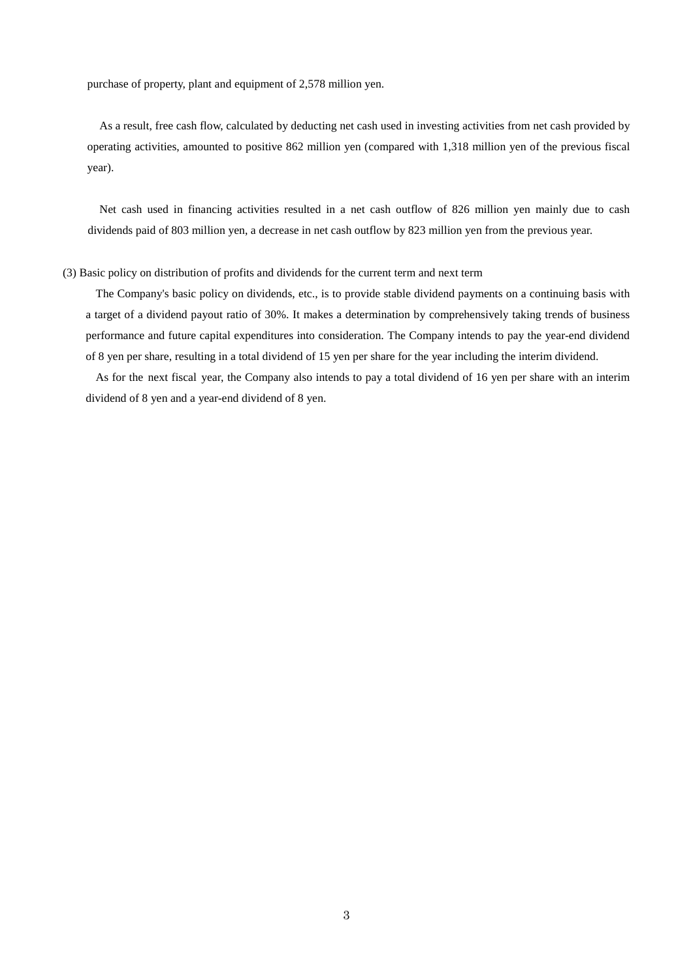purchase of property, plant and equipment of 2,578 million yen.

As a result, free cash flow, calculated by deducting net cash used in investing activities from net cash provided by operating activities, amounted to positive 862 million yen (compared with 1,318 million yen of the previous fiscal year).

Net cash used in financing activities resulted in a net cash outflow of 826 million yen mainly due to cash dividends paid of 803 million yen, a decrease in net cash outflow by 823 million yen from the previous year.

### <span id="page-6-0"></span>(3) Basic policy on distribution of profits and dividends for the current term and next term

The Company's basic policy on dividends, etc., is to provide stable dividend payments on a continuing basis with a target of a dividend payout ratio of 30%. It makes a determination by comprehensively taking trends of business performance and future capital expenditures into consideration. The Company intends to pay the year-end dividend of 8 yen per share, resulting in a total dividend of 15 yen per share for the year including the interim dividend.

As for the next fiscal year, the Company also intends to pay a total dividend of 16 yen per share with an interim dividend of 8 yen and a year-end dividend of 8 yen.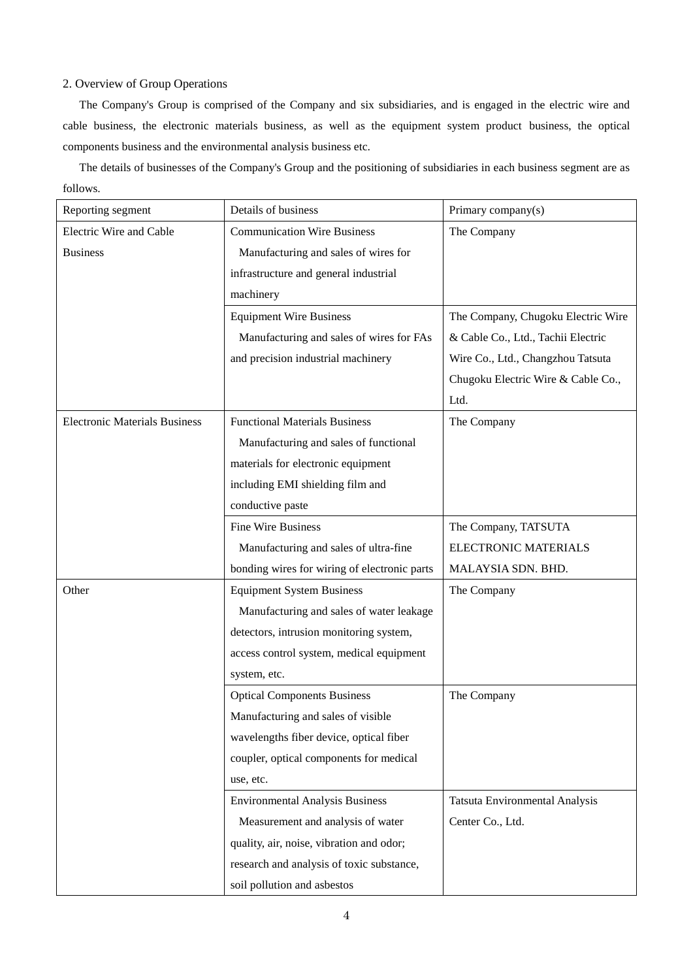## <span id="page-7-0"></span>2. Overview of Group Operations

The Company's Group is comprised of the Company and six subsidiaries, and is engaged in the electric wire and cable business, the electronic materials business, as well as the equipment system product business, the optical components business and the environmental analysis business etc.

The details of businesses of the Company's Group and the positioning of subsidiaries in each business segment are as follows.

| Reporting segment                    | Details of business                          | Primary company(s)                    |
|--------------------------------------|----------------------------------------------|---------------------------------------|
| Electric Wire and Cable              | <b>Communication Wire Business</b>           | The Company                           |
| <b>Business</b>                      | Manufacturing and sales of wires for         |                                       |
|                                      | infrastructure and general industrial        |                                       |
|                                      | machinery                                    |                                       |
|                                      | <b>Equipment Wire Business</b>               | The Company, Chugoku Electric Wire    |
|                                      | Manufacturing and sales of wires for FAs     | & Cable Co., Ltd., Tachii Electric    |
|                                      | and precision industrial machinery           | Wire Co., Ltd., Changzhou Tatsuta     |
|                                      |                                              | Chugoku Electric Wire & Cable Co.,    |
|                                      |                                              | Ltd.                                  |
| <b>Electronic Materials Business</b> | <b>Functional Materials Business</b>         | The Company                           |
|                                      | Manufacturing and sales of functional        |                                       |
|                                      | materials for electronic equipment           |                                       |
|                                      | including EMI shielding film and             |                                       |
|                                      | conductive paste                             |                                       |
|                                      | <b>Fine Wire Business</b>                    | The Company, TATSUTA                  |
|                                      | Manufacturing and sales of ultra-fine        | ELECTRONIC MATERIALS                  |
|                                      | bonding wires for wiring of electronic parts | MALAYSIA SDN. BHD.                    |
| Other                                | <b>Equipment System Business</b>             | The Company                           |
|                                      | Manufacturing and sales of water leakage     |                                       |
|                                      | detectors, intrusion monitoring system,      |                                       |
|                                      | access control system, medical equipment     |                                       |
|                                      | system, etc.                                 |                                       |
|                                      | <b>Optical Components Business</b>           | The Company                           |
|                                      | Manufacturing and sales of visible           |                                       |
|                                      | wavelengths fiber device, optical fiber      |                                       |
|                                      | coupler, optical components for medical      |                                       |
|                                      | use, etc.                                    |                                       |
|                                      | <b>Environmental Analysis Business</b>       | <b>Tatsuta Environmental Analysis</b> |
|                                      | Measurement and analysis of water            | Center Co., Ltd.                      |
|                                      | quality, air, noise, vibration and odor;     |                                       |
|                                      | research and analysis of toxic substance,    |                                       |
|                                      | soil pollution and asbestos                  |                                       |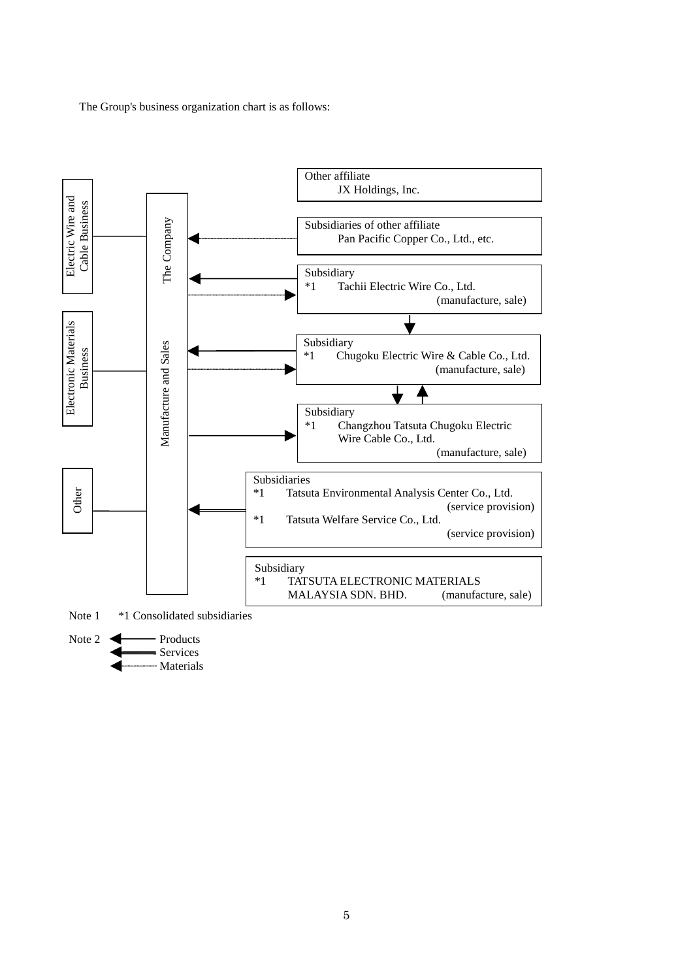The Group's business organization chart is as follows:



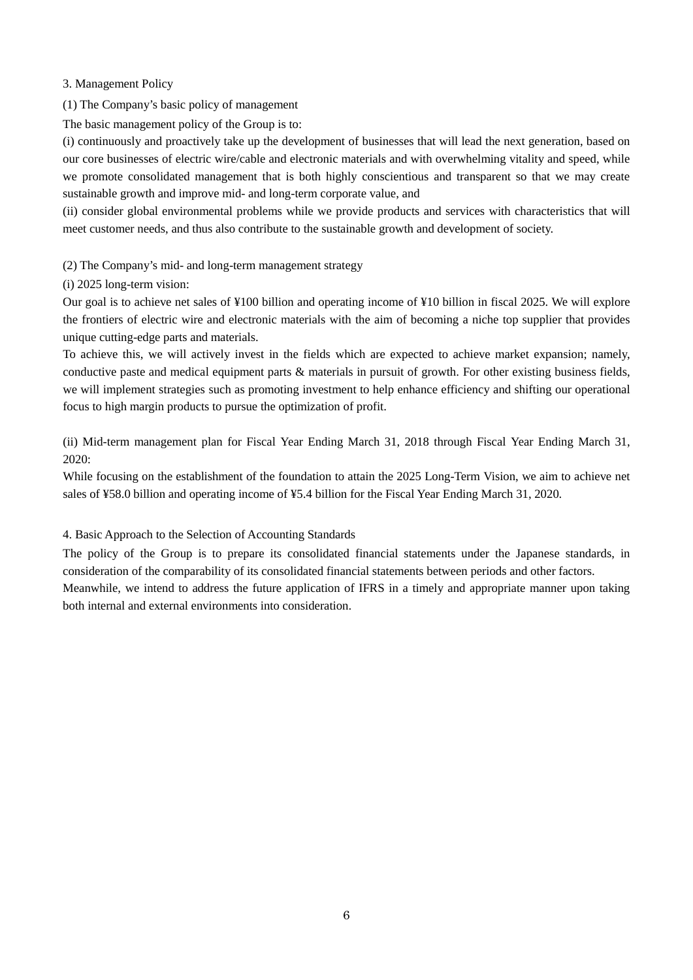<span id="page-9-0"></span>3. Management Policy

<span id="page-9-1"></span>(1) The Company's basic policy of management

The basic management policy of the Group is to:

(i) continuously and proactively take up the development of businesses that will lead the next generation, based on our core businesses of electric wire/cable and electronic materials and with overwhelming vitality and speed, while we promote consolidated management that is both highly conscientious and transparent so that we may create sustainable growth and improve mid- and long-term corporate value, and

(ii) consider global environmental problems while we provide products and services with characteristics that will meet customer needs, and thus also contribute to the sustainable growth and development of society.

<span id="page-9-2"></span>(2) The Company's mid- and long-term management strategy

(i) 2025 long-term vision:

Our goal is to achieve net sales of ¥100 billion and operating income of ¥10 billion in fiscal 2025. We will explore the frontiers of electric wire and electronic materials with the aim of becoming a niche top supplier that provides unique cutting-edge parts and materials.

To achieve this, we will actively invest in the fields which are expected to achieve market expansion; namely, conductive paste and medical equipment parts & materials in pursuit of growth. For other existing business fields, we will implement strategies such as promoting investment to help enhance efficiency and shifting our operational focus to high margin products to pursue the optimization of profit.

(ii) Mid-term management plan for Fiscal Year Ending March 31, 2018 through Fiscal Year Ending March 31, 2020:

While focusing on the establishment of the foundation to attain the 2025 Long-Term Vision, we aim to achieve net sales of ¥58.0 billion and operating income of ¥5.4 billion for the Fiscal Year Ending March 31, 2020.

## <span id="page-9-3"></span>4. Basic Approach to the Selection of Accounting Standards

The policy of the Group is to prepare its consolidated financial statements under the Japanese standards, in consideration of the comparability of its consolidated financial statements between periods and other factors. Meanwhile, we intend to address the future application of IFRS in a timely and appropriate manner upon taking both internal and external environments into consideration.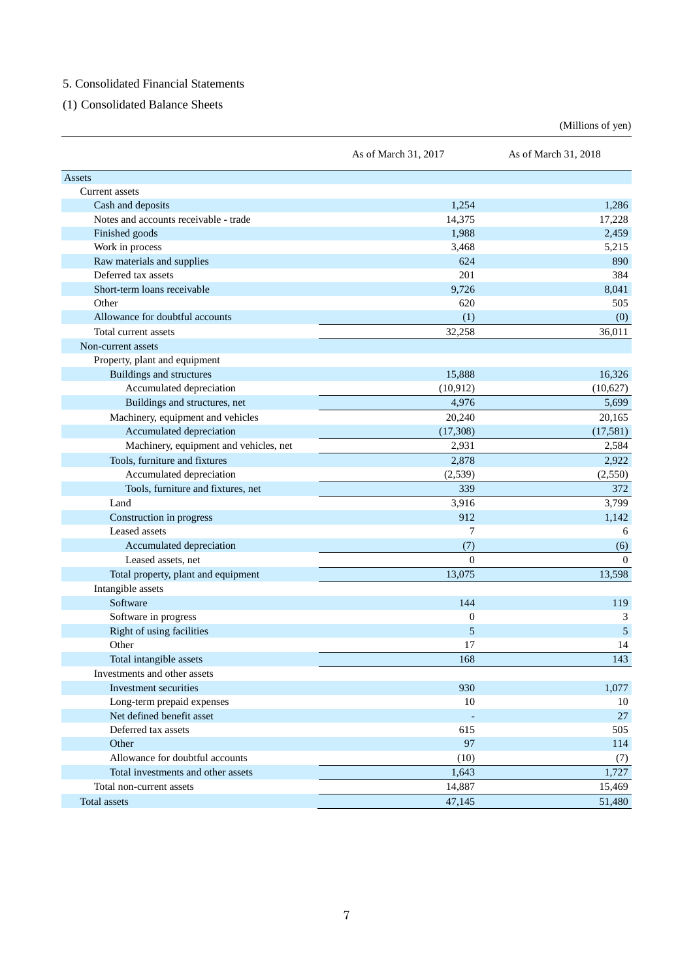## <span id="page-10-0"></span>5. Consolidated Financial Statements

<span id="page-10-1"></span>(1) Consolidated Balance Sheets

(Millions of yen)

|                                        | As of March 31, 2017 | As of March 31, 2018 |
|----------------------------------------|----------------------|----------------------|
| Assets                                 |                      |                      |
| Current assets                         |                      |                      |
| Cash and deposits                      | 1,254                | 1,286                |
| Notes and accounts receivable - trade  | 14,375               | 17,228               |
| Finished goods                         | 1,988                | 2,459                |
| Work in process                        | 3,468                | 5,215                |
| Raw materials and supplies             | 624                  | 890                  |
| Deferred tax assets                    | 201                  | 384                  |
| Short-term loans receivable            | 9,726                | 8,041                |
| Other                                  | 620                  | 505                  |
| Allowance for doubtful accounts        | (1)                  | (0)                  |
| Total current assets                   | 32,258               | 36,011               |
| Non-current assets                     |                      |                      |
| Property, plant and equipment          |                      |                      |
| Buildings and structures               | 15,888               | 16,326               |
| Accumulated depreciation               | (10, 912)            | (10,627)             |
| Buildings and structures, net          | 4,976                | 5,699                |
| Machinery, equipment and vehicles      | 20,240               | 20,165               |
| Accumulated depreciation               | (17,308)             | (17,581)             |
| Machinery, equipment and vehicles, net | 2,931                | 2,584                |
| Tools, furniture and fixtures          | 2,878                | 2,922                |
| Accumulated depreciation               | (2,539)              | (2,550)              |
| Tools, furniture and fixtures, net     | 339                  | 372                  |
| Land                                   | 3,916                | 3,799                |
| Construction in progress               | 912                  | 1,142                |
| Leased assets                          | 7                    | 6                    |
| Accumulated depreciation               | (7)                  | (6)                  |
| Leased assets, net                     | $\mathbf{0}$         | $\overline{0}$       |
| Total property, plant and equipment    | 13,075               | 13,598               |
| Intangible assets                      |                      |                      |
| Software                               | 144                  | 119                  |
| Software in progress                   | $\theta$             | 3                    |
| Right of using facilities              | 5                    | 5                    |
| Other                                  | 17                   | 14                   |
| Total intangible assets                | 168                  | 143                  |
| Investments and other assets           |                      |                      |
| Investment securities                  | 930                  | 1,077                |
| Long-term prepaid expenses             | 10                   | 10                   |
| Net defined benefit asset              |                      | $27\,$               |
| Deferred tax assets                    | 615                  | 505                  |
| Other                                  | 97                   | 114                  |
| Allowance for doubtful accounts        | (10)                 | (7)                  |
| Total investments and other assets     | 1,643                | 1,727                |
| Total non-current assets               | 14,887               | 15,469               |
| Total assets                           | 47,145               | 51,480               |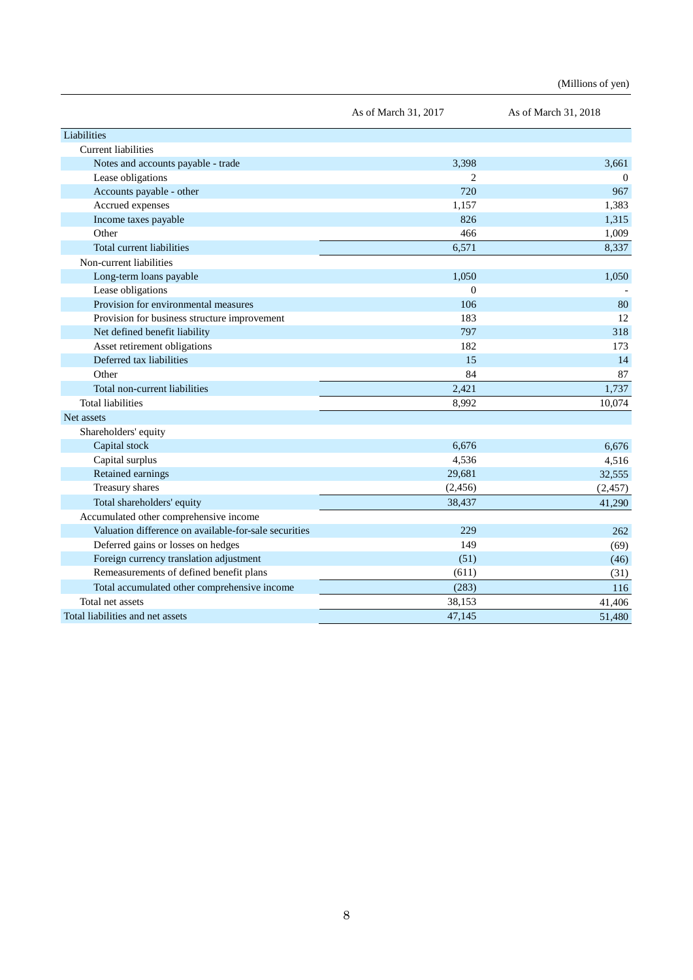| (Millions of yen) |  |
|-------------------|--|
|                   |  |

|                                                       | As of March 31, 2017 | As of March 31, 2018 |
|-------------------------------------------------------|----------------------|----------------------|
| Liabilities                                           |                      |                      |
| <b>Current liabilities</b>                            |                      |                      |
| Notes and accounts payable - trade                    | 3,398                | 3,661                |
| Lease obligations                                     | 2                    | $\Omega$             |
| Accounts payable - other                              | 720                  | 967                  |
| Accrued expenses                                      | 1,157                | 1,383                |
| Income taxes payable                                  | 826                  | 1,315                |
| Other                                                 | 466                  | 1,009                |
| Total current liabilities                             | 6,571                | 8,337                |
| Non-current liabilities                               |                      |                      |
| Long-term loans payable                               | 1,050                | 1,050                |
| Lease obligations                                     | $\theta$             |                      |
| Provision for environmental measures                  | 106                  | 80                   |
| Provision for business structure improvement          | 183                  | 12                   |
| Net defined benefit liability                         | 797                  | 318                  |
| Asset retirement obligations                          | 182                  | 173                  |
| Deferred tax liabilities                              | 15                   | 14                   |
| Other                                                 | 84                   | 87                   |
| Total non-current liabilities                         | 2,421                | 1,737                |
| <b>Total liabilities</b>                              | 8,992                | 10,074               |
| Net assets                                            |                      |                      |
| Shareholders' equity                                  |                      |                      |
| Capital stock                                         | 6,676                | 6,676                |
| Capital surplus                                       | 4,536                | 4,516                |
| Retained earnings                                     | 29,681               | 32,555               |
| Treasury shares                                       | (2, 456)             | (2, 457)             |
| Total shareholders' equity                            | 38,437               | 41,290               |
| Accumulated other comprehensive income                |                      |                      |
| Valuation difference on available-for-sale securities | 229                  | 262                  |
| Deferred gains or losses on hedges                    | 149                  | (69)                 |
| Foreign currency translation adjustment               | (51)                 | (46)                 |
| Remeasurements of defined benefit plans               | (611)                | (31)                 |
| Total accumulated other comprehensive income          | (283)                | 116                  |
| Total net assets                                      | 38,153               | 41,406               |
| Total liabilities and net assets                      | 47,145               | 51,480               |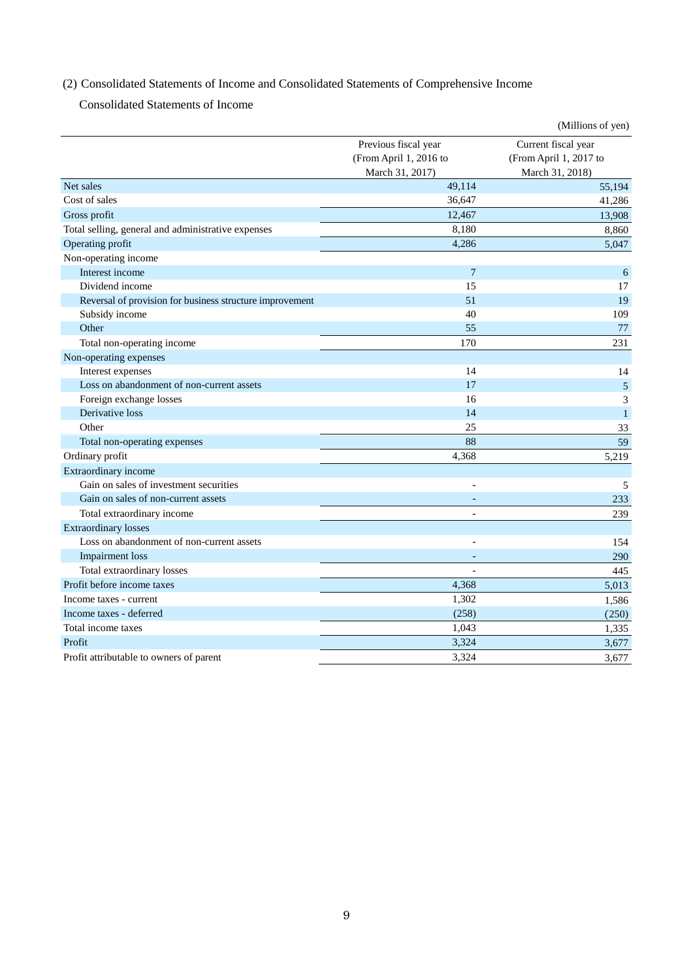## <span id="page-12-0"></span>(2) Consolidated Statements of Income and Consolidated Statements of Comprehensive Income

Consolidated Statements of Income

|                                                          |                        | (Millions of yen)      |
|----------------------------------------------------------|------------------------|------------------------|
|                                                          | Previous fiscal year   | Current fiscal year    |
|                                                          | (From April 1, 2016 to | (From April 1, 2017 to |
|                                                          | March 31, 2017)        | March 31, 2018)        |
| Net sales                                                | 49,114                 | 55,194                 |
| Cost of sales                                            | 36,647                 | 41,286                 |
| Gross profit                                             | 12,467                 | 13,908                 |
| Total selling, general and administrative expenses       | 8,180                  | 8,860                  |
| Operating profit                                         | 4,286                  | 5,047                  |
| Non-operating income                                     |                        |                        |
| Interest income                                          | $\overline{7}$         | 6                      |
| Dividend income                                          | 15                     | 17                     |
| Reversal of provision for business structure improvement | 51                     | 19                     |
| Subsidy income                                           | 40                     | 109                    |
| Other                                                    | 55                     | 77                     |
| Total non-operating income                               | 170                    | 231                    |
| Non-operating expenses                                   |                        |                        |
| Interest expenses                                        | 14                     | 14                     |
| Loss on abandonment of non-current assets                | 17                     | $\sqrt{5}$             |
| Foreign exchange losses                                  | 16                     | 3                      |
| Derivative loss                                          | 14                     | $\mathbf{1}$           |
| Other                                                    | 25                     | 33                     |
| Total non-operating expenses                             | 88                     | 59                     |
| Ordinary profit                                          | 4,368                  | 5,219                  |
| Extraordinary income                                     |                        |                        |
| Gain on sales of investment securities                   |                        | 5                      |
| Gain on sales of non-current assets                      |                        | 233                    |
| Total extraordinary income                               |                        | 239                    |
| <b>Extraordinary losses</b>                              |                        |                        |
| Loss on abandonment of non-current assets                |                        | 154                    |
| <b>Impairment</b> loss                                   |                        | 290                    |
| Total extraordinary losses                               |                        | 445                    |
| Profit before income taxes                               | 4,368                  | 5,013                  |
| Income taxes - current                                   | 1,302                  | 1,586                  |
| Income taxes - deferred                                  | (258)                  | (250)                  |
| Total income taxes                                       | 1,043                  | 1,335                  |
| Profit                                                   | 3,324                  | 3,677                  |
| Profit attributable to owners of parent                  | 3,324                  | 3,677                  |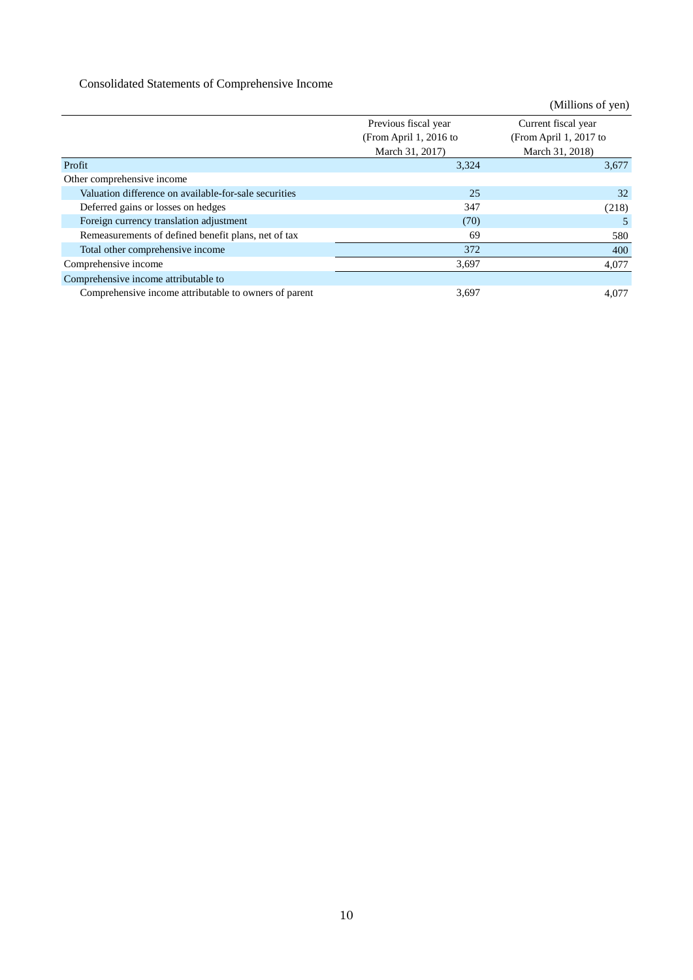Consolidated Statements of Comprehensive Income

|                                                       |                        | (Millions of yen)      |
|-------------------------------------------------------|------------------------|------------------------|
|                                                       | Previous fiscal year   | Current fiscal year    |
|                                                       | (From April 1, 2016 to | (From April 1, 2017 to |
|                                                       | March 31, 2017)        | March 31, 2018)        |
| Profit                                                | 3,324                  | 3,677                  |
| Other comprehensive income                            |                        |                        |
| Valuation difference on available-for-sale securities | 25                     | 32                     |
| Deferred gains or losses on hedges                    | 347                    | (218)                  |
| Foreign currency translation adjustment               | (70)                   | 5                      |
| Remeasurements of defined benefit plans, net of tax   | 69                     | 580                    |
| Total other comprehensive income                      | 372                    | 400                    |
| Comprehensive income                                  | 3,697                  | 4,077                  |
| Comprehensive income attributable to                  |                        |                        |
| Comprehensive income attributable to owners of parent | 3.697                  | 4.077                  |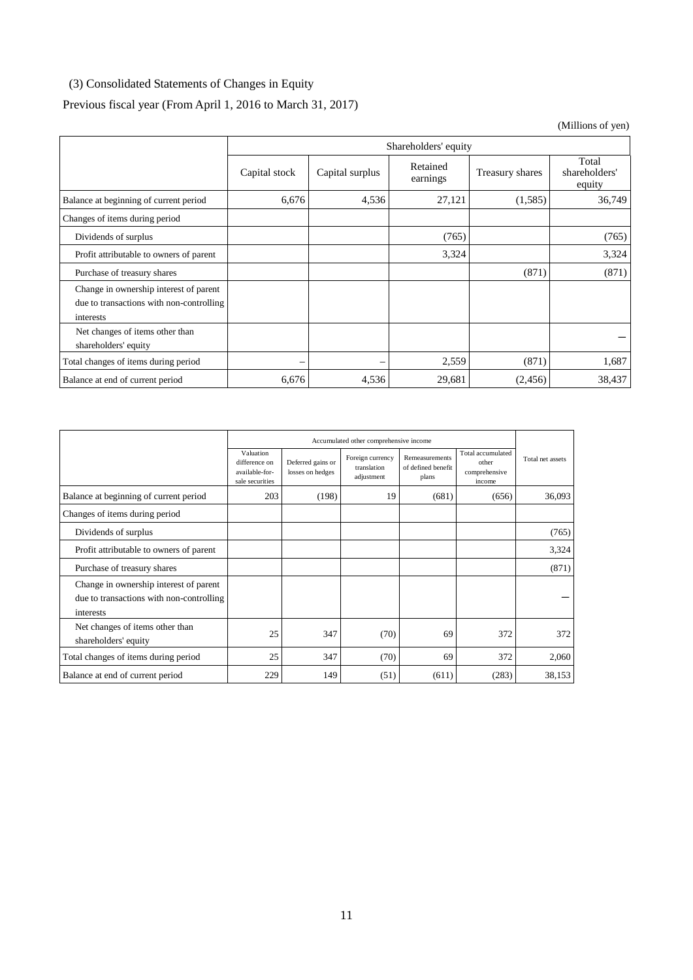## <span id="page-14-0"></span>(3) Consolidated Statements of Changes in Equity

# Previous fiscal year (From April 1, 2016 to March 31, 2017)

(Millions of yen)

|                                                                                                 | Shareholders' equity |                   |                      |                 |                                  |  |  |
|-------------------------------------------------------------------------------------------------|----------------------|-------------------|----------------------|-----------------|----------------------------------|--|--|
|                                                                                                 | Capital stock        | Capital surplus   | Retained<br>earnings | Treasury shares | Total<br>shareholders'<br>equity |  |  |
| Balance at beginning of current period                                                          | 6,676                | 4,536             | 27,121               | (1,585)         | 36,749                           |  |  |
| Changes of items during period                                                                  |                      |                   |                      |                 |                                  |  |  |
| Dividends of surplus                                                                            |                      |                   | (765)                |                 | (765)                            |  |  |
| Profit attributable to owners of parent                                                         |                      |                   | 3,324                |                 | 3,324                            |  |  |
| Purchase of treasury shares                                                                     |                      |                   |                      | (871)           | (871)                            |  |  |
| Change in ownership interest of parent<br>due to transactions with non-controlling<br>interests |                      |                   |                      |                 |                                  |  |  |
| Net changes of items other than<br>shareholders' equity                                         |                      |                   |                      |                 |                                  |  |  |
| Total changes of items during period                                                            | –                    | $\hspace{0.05cm}$ | 2,559                | (871)           | 1,687                            |  |  |
| Balance at end of current period                                                                | 6,676                | 4,536             | 29,681               | (2, 456)        | 38,437                           |  |  |

|                                                                                                 | Accumulated other comprehensive income                          |                                       |                                               |                                               |                                                       |                  |
|-------------------------------------------------------------------------------------------------|-----------------------------------------------------------------|---------------------------------------|-----------------------------------------------|-----------------------------------------------|-------------------------------------------------------|------------------|
|                                                                                                 | Valuation<br>difference on<br>available-for-<br>sale securities | Deferred gains or<br>losses on hedges | Foreign currency<br>translation<br>adjustment | Remeasurements<br>of defined benefit<br>plans | Total accumulated<br>other<br>comprehensive<br>income | Total net assets |
| Balance at beginning of current period                                                          | 203                                                             | (198)                                 | 19                                            | (681)                                         | (656)                                                 | 36,093           |
| Changes of items during period                                                                  |                                                                 |                                       |                                               |                                               |                                                       |                  |
| Dividends of surplus                                                                            |                                                                 |                                       |                                               |                                               |                                                       | (765)            |
| Profit attributable to owners of parent                                                         |                                                                 |                                       |                                               |                                               |                                                       | 3,324            |
| Purchase of treasury shares                                                                     |                                                                 |                                       |                                               |                                               |                                                       | (871)            |
| Change in ownership interest of parent<br>due to transactions with non-controlling<br>interests |                                                                 |                                       |                                               |                                               |                                                       |                  |
| Net changes of items other than<br>shareholders' equity                                         | 25                                                              | 347                                   | (70)                                          | 69                                            | 372                                                   | 372              |
| Total changes of items during period                                                            | 25                                                              | 347                                   | (70)                                          | 69                                            | 372                                                   | 2,060            |
| Balance at end of current period                                                                | 229                                                             | 149                                   | (51)                                          | (611)                                         | (283)                                                 | 38,153           |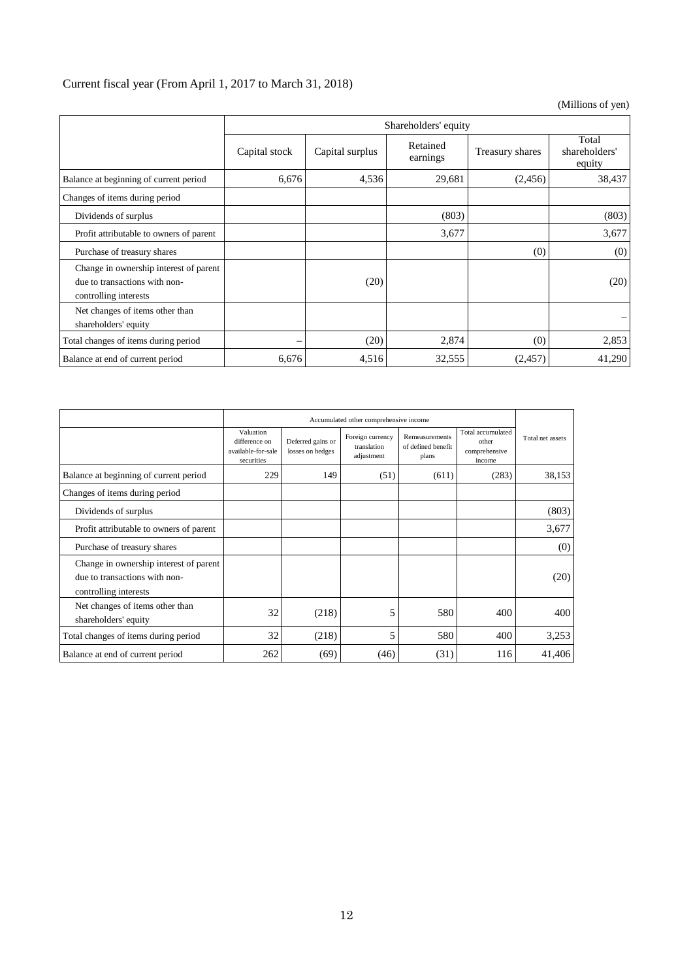## Current fiscal year (From April 1, 2017 to March 31, 2018)

(Millions of yen)

|                                                                                                  | Shareholders' equity |                 |                      |                 |                                  |  |
|--------------------------------------------------------------------------------------------------|----------------------|-----------------|----------------------|-----------------|----------------------------------|--|
|                                                                                                  | Capital stock        | Capital surplus | Retained<br>earnings | Treasury shares | Total<br>shareholders'<br>equity |  |
| Balance at beginning of current period                                                           | 6,676                | 4,536           | 29,681               | (2,456)         | 38,437                           |  |
| Changes of items during period                                                                   |                      |                 |                      |                 |                                  |  |
| Dividends of surplus                                                                             |                      |                 | (803)                |                 | (803)                            |  |
| Profit attributable to owners of parent                                                          |                      |                 | 3,677                |                 | 3,677                            |  |
| Purchase of treasury shares                                                                      |                      |                 |                      | (0)             | (0)                              |  |
| Change in ownership interest of parent<br>due to transactions with non-<br>controlling interests |                      | (20)            |                      |                 | (20)                             |  |
| Net changes of items other than<br>shareholders' equity                                          |                      |                 |                      |                 |                                  |  |
| Total changes of items during period                                                             |                      | (20)            | 2,874                | (0)             | 2,853                            |  |
| Balance at end of current period                                                                 | 6,676                | 4,516           | 32,555               | (2,457)         | 41,290                           |  |

|                                                                                                  | Accumulated other comprehensive income                         |                                       |                                               |                                               |                                                       |                  |
|--------------------------------------------------------------------------------------------------|----------------------------------------------------------------|---------------------------------------|-----------------------------------------------|-----------------------------------------------|-------------------------------------------------------|------------------|
|                                                                                                  | Valuation<br>difference on<br>available-for-sale<br>securities | Deferred gains or<br>losses on hedges | Foreign currency<br>translation<br>adjustment | Remeasurements<br>of defined benefit<br>plans | Total accumulated<br>other<br>comprehensive<br>income | Total net assets |
| Balance at beginning of current period                                                           | 229                                                            | 149                                   | (51)                                          | (611)                                         | (283)                                                 | 38,153           |
| Changes of items during period                                                                   |                                                                |                                       |                                               |                                               |                                                       |                  |
| Dividends of surplus                                                                             |                                                                |                                       |                                               |                                               |                                                       | (803)            |
| Profit attributable to owners of parent                                                          |                                                                |                                       |                                               |                                               |                                                       | 3,677            |
| Purchase of treasury shares                                                                      |                                                                |                                       |                                               |                                               |                                                       | (0)              |
| Change in ownership interest of parent<br>due to transactions with non-<br>controlling interests |                                                                |                                       |                                               |                                               |                                                       | (20)             |
| Net changes of items other than<br>shareholders' equity                                          | 32                                                             | (218)                                 | 5                                             | 580                                           | 400                                                   | 400              |
| Total changes of items during period                                                             | 32                                                             | (218)                                 | 5                                             | 580                                           | 400                                                   | 3,253            |
| Balance at end of current period                                                                 | 262                                                            | (69)                                  | (46)                                          | (31)                                          | 116                                                   | 41,406           |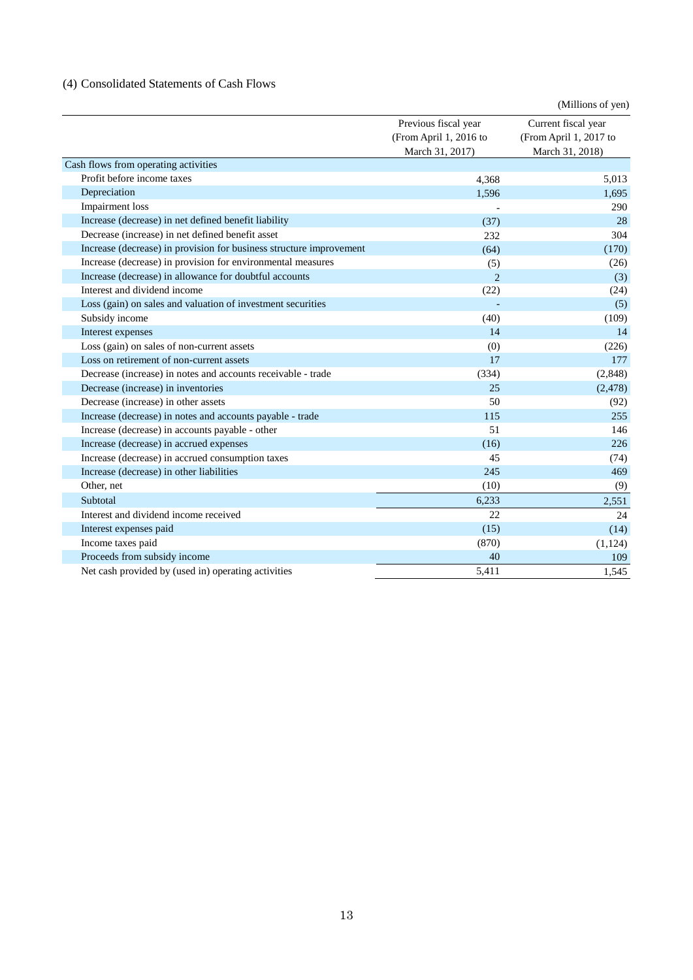## <span id="page-16-0"></span>(4) Consolidated Statements of Cash Flows

|                                                                     |                        | (Millions of yen)      |
|---------------------------------------------------------------------|------------------------|------------------------|
|                                                                     | Previous fiscal year   | Current fiscal year    |
|                                                                     | (From April 1, 2016 to | (From April 1, 2017 to |
|                                                                     | March 31, 2017)        | March 31, 2018)        |
| Cash flows from operating activities                                |                        |                        |
| Profit before income taxes                                          | 4,368                  | 5,013                  |
| Depreciation                                                        | 1,596                  | 1,695                  |
| Impairment loss                                                     |                        | 290                    |
| Increase (decrease) in net defined benefit liability                | (37)                   | 28                     |
| Decrease (increase) in net defined benefit asset                    | 232                    | 304                    |
| Increase (decrease) in provision for business structure improvement | (64)                   | (170)                  |
| Increase (decrease) in provision for environmental measures         | (5)                    | (26)                   |
| Increase (decrease) in allowance for doubtful accounts              | $\overline{2}$         | (3)                    |
| Interest and dividend income                                        | (22)                   | (24)                   |
| Loss (gain) on sales and valuation of investment securities         |                        | (5)                    |
| Subsidy income                                                      | (40)                   | (109)                  |
| Interest expenses                                                   | 14                     | 14                     |
| Loss (gain) on sales of non-current assets                          | (0)                    | (226)                  |
| Loss on retirement of non-current assets                            | 17                     | 177                    |
| Decrease (increase) in notes and accounts receivable - trade        | (334)                  | (2,848)                |
| Decrease (increase) in inventories                                  | 25                     | (2, 478)               |
| Decrease (increase) in other assets                                 | 50                     | (92)                   |
| Increase (decrease) in notes and accounts payable - trade           | 115                    | 255                    |
| Increase (decrease) in accounts payable - other                     | 51                     | 146                    |
| Increase (decrease) in accrued expenses                             | (16)                   | 226                    |
| Increase (decrease) in accrued consumption taxes                    | 45                     | (74)                   |
| Increase (decrease) in other liabilities                            | 245                    | 469                    |
| Other, net                                                          | (10)                   | (9)                    |
| Subtotal                                                            | 6,233                  | 2,551                  |
| Interest and dividend income received                               | 22                     | 24                     |
| Interest expenses paid                                              | (15)                   | (14)                   |
| Income taxes paid                                                   | (870)                  | (1, 124)               |
| Proceeds from subsidy income                                        | 40                     | 109                    |
| Net cash provided by (used in) operating activities                 | 5,411                  | 1,545                  |
|                                                                     |                        |                        |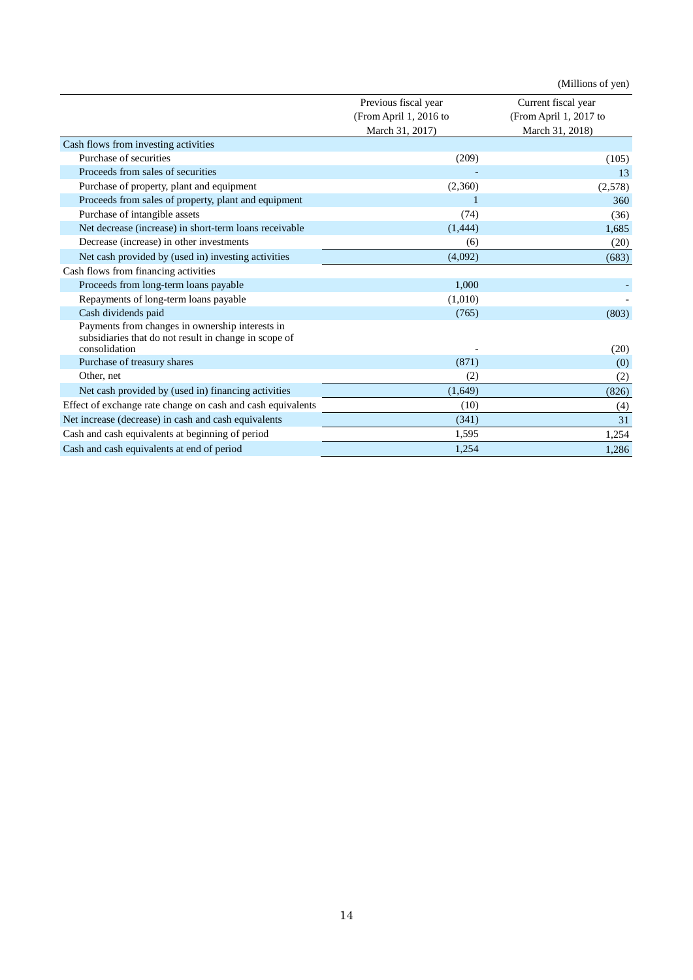|                                                                                                                           |                        | (Millions of yen)      |
|---------------------------------------------------------------------------------------------------------------------------|------------------------|------------------------|
|                                                                                                                           | Previous fiscal year   | Current fiscal year    |
|                                                                                                                           | (From April 1, 2016 to | (From April 1, 2017 to |
|                                                                                                                           | March 31, 2017)        | March 31, 2018)        |
| Cash flows from investing activities                                                                                      |                        |                        |
| Purchase of securities                                                                                                    | (209)                  | (105)                  |
| Proceeds from sales of securities                                                                                         |                        | 13                     |
| Purchase of property, plant and equipment                                                                                 | (2,360)                | (2,578)                |
| Proceeds from sales of property, plant and equipment                                                                      | $\mathbf{1}$           | 360                    |
| Purchase of intangible assets                                                                                             | (74)                   | (36)                   |
| Net decrease (increase) in short-term loans receivable                                                                    | (1, 444)               | 1,685                  |
| Decrease (increase) in other investments                                                                                  | (6)                    | (20)                   |
| Net cash provided by (used in) investing activities                                                                       | (4,092)                | (683)                  |
| Cash flows from financing activities                                                                                      |                        |                        |
| Proceeds from long-term loans payable                                                                                     | 1,000                  |                        |
| Repayments of long-term loans payable                                                                                     | (1,010)                |                        |
| Cash dividends paid                                                                                                       | (765)                  | (803)                  |
| Payments from changes in ownership interests in<br>subsidiaries that do not result in change in scope of<br>consolidation |                        | (20)                   |
| Purchase of treasury shares                                                                                               | (871)                  | (0)                    |
| Other, net                                                                                                                | (2)                    | (2)                    |
| Net cash provided by (used in) financing activities                                                                       | (1,649)                | (826)                  |
| Effect of exchange rate change on cash and cash equivalents                                                               | (10)                   | (4)                    |
| Net increase (decrease) in cash and cash equivalents                                                                      | (341)                  | 31                     |
| Cash and cash equivalents at beginning of period                                                                          | 1,595                  | 1,254                  |
| Cash and cash equivalents at end of period                                                                                | 1,254                  | 1,286                  |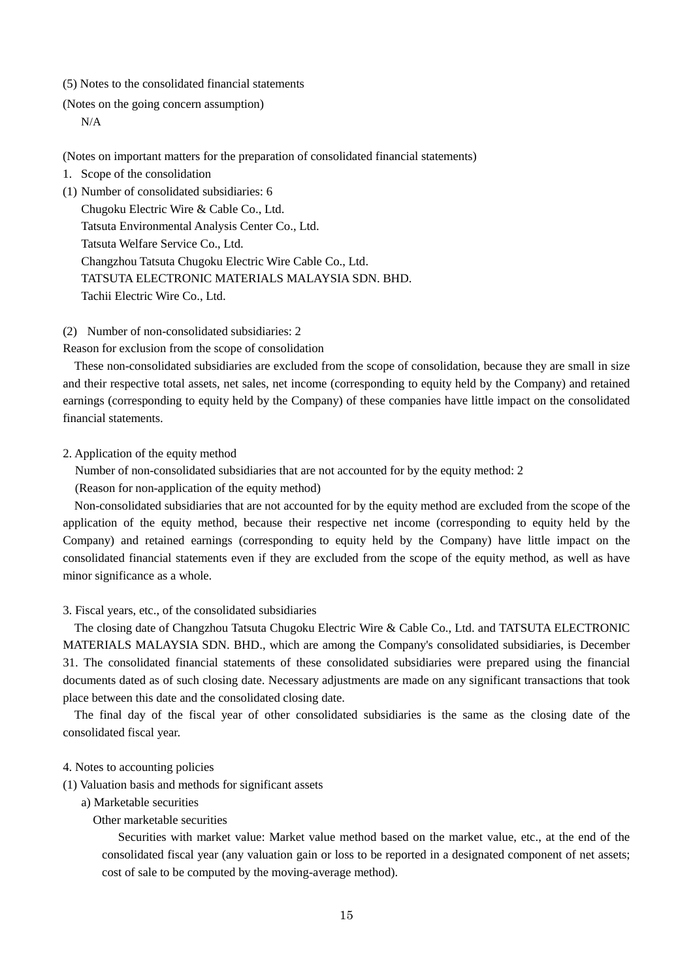<span id="page-18-0"></span>(5) Notes to the consolidated financial statements

<span id="page-18-1"></span>(Notes on the going concern assumption)

N/A

<span id="page-18-2"></span>(Notes on important matters for the preparation of consolidated financial statements)

1. Scope of the consolidation

(1) Number of consolidated subsidiaries: 6 Chugoku Electric Wire & Cable Co., Ltd. Tatsuta Environmental Analysis Center Co., Ltd. Tatsuta Welfare Service Co., Ltd. Changzhou Tatsuta Chugoku Electric Wire Cable Co., Ltd. TATSUTA ELECTRONIC MATERIALS MALAYSIA SDN. BHD. Tachii Electric Wire Co., Ltd.

(2) Number of non-consolidated subsidiaries: 2

Reason for exclusion from the scope of consolidation

These non-consolidated subsidiaries are excluded from the scope of consolidation, because they are small in size and their respective total assets, net sales, net income (corresponding to equity held by the Company) and retained earnings (corresponding to equity held by the Company) of these companies have little impact on the consolidated financial statements.

2. Application of the equity method

Number of non-consolidated subsidiaries that are not accounted for by the equity method: 2

(Reason for non-application of the equity method)

Non-consolidated subsidiaries that are not accounted for by the equity method are excluded from the scope of the application of the equity method, because their respective net income (corresponding to equity held by the Company) and retained earnings (corresponding to equity held by the Company) have little impact on the consolidated financial statements even if they are excluded from the scope of the equity method, as well as have minor significance as a whole.

3. Fiscal years, etc., of the consolidated subsidiaries

The closing date of Changzhou Tatsuta Chugoku Electric Wire & Cable Co., Ltd. and TATSUTA ELECTRONIC MATERIALS MALAYSIA SDN. BHD., which are among the Company's consolidated subsidiaries, is December 31. The consolidated financial statements of these consolidated subsidiaries were prepared using the financial documents dated as of such closing date. Necessary adjustments are made on any significant transactions that took place between this date and the consolidated closing date.

The final day of the fiscal year of other consolidated subsidiaries is the same as the closing date of the consolidated fiscal year.

#### 4. Notes to accounting policies

(1) Valuation basis and methods for significant assets

a) Marketable securities

Other marketable securities

Securities with market value: Market value method based on the market value, etc., at the end of the consolidated fiscal year (any valuation gain or loss to be reported in a designated component of net assets; cost of sale to be computed by the moving-average method).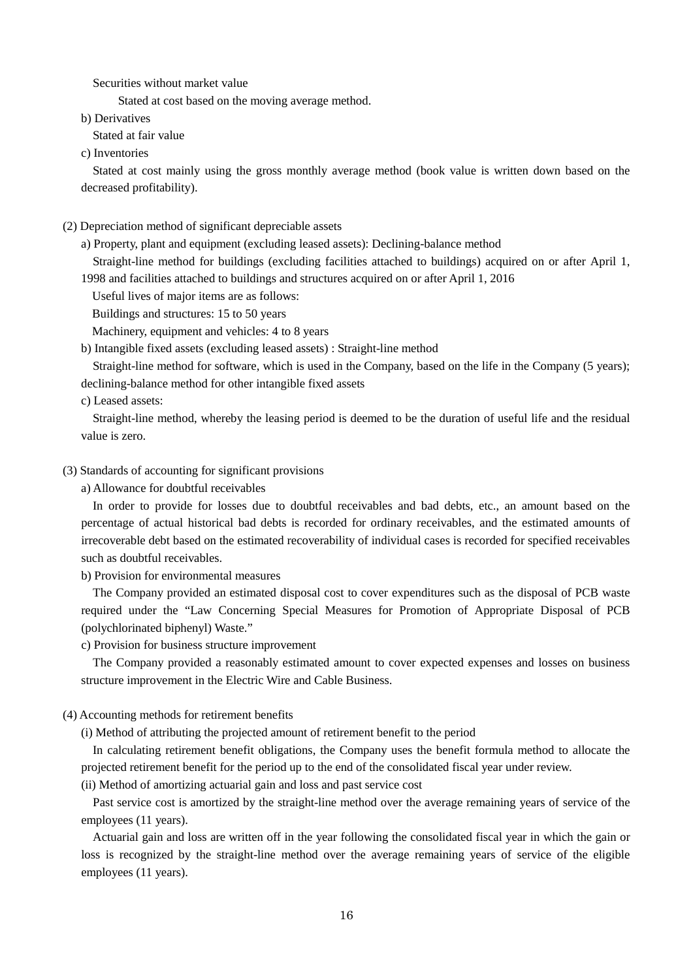Securities without market value

Stated at cost based on the moving average method.

b) Derivatives

Stated at fair value

c) Inventories

Stated at cost mainly using the gross monthly average method (book value is written down based on the decreased profitability).

(2) Depreciation method of significant depreciable assets

a) Property, plant and equipment (excluding leased assets): Declining-balance method

Straight-line method for buildings (excluding facilities attached to buildings) acquired on or after April 1, 1998 and facilities attached to buildings and structures acquired on or after April 1, 2016

Useful lives of major items are as follows:

Buildings and structures: 15 to 50 years

Machinery, equipment and vehicles: 4 to 8 years

b) Intangible fixed assets (excluding leased assets) : Straight-line method

Straight-line method for software, which is used in the Company, based on the life in the Company (5 years); declining-balance method for other intangible fixed assets

c) Leased assets:

Straight-line method, whereby the leasing period is deemed to be the duration of useful life and the residual value is zero.

### (3) Standards of accounting for significant provisions

a) Allowance for doubtful receivables

In order to provide for losses due to doubtful receivables and bad debts, etc., an amount based on the percentage of actual historical bad debts is recorded for ordinary receivables, and the estimated amounts of irrecoverable debt based on the estimated recoverability of individual cases is recorded for specified receivables such as doubtful receivables.

b) Provision for environmental measures

The Company provided an estimated disposal cost to cover expenditures such as the disposal of PCB waste required under the "Law Concerning Special Measures for Promotion of Appropriate Disposal of PCB (polychlorinated biphenyl) Waste."

c) Provision for business structure improvement

The Company provided a reasonably estimated amount to cover expected expenses and losses on business structure improvement in the Electric Wire and Cable Business.

#### (4) Accounting methods for retirement benefits

(i) Method of attributing the projected amount of retirement benefit to the period

In calculating retirement benefit obligations, the Company uses the benefit formula method to allocate the projected retirement benefit for the period up to the end of the consolidated fiscal year under review.

(ii) Method of amortizing actuarial gain and loss and past service cost

Past service cost is amortized by the straight-line method over the average remaining years of service of the employees (11 years).

Actuarial gain and loss are written off in the year following the consolidated fiscal year in which the gain or loss is recognized by the straight-line method over the average remaining years of service of the eligible employees (11 years).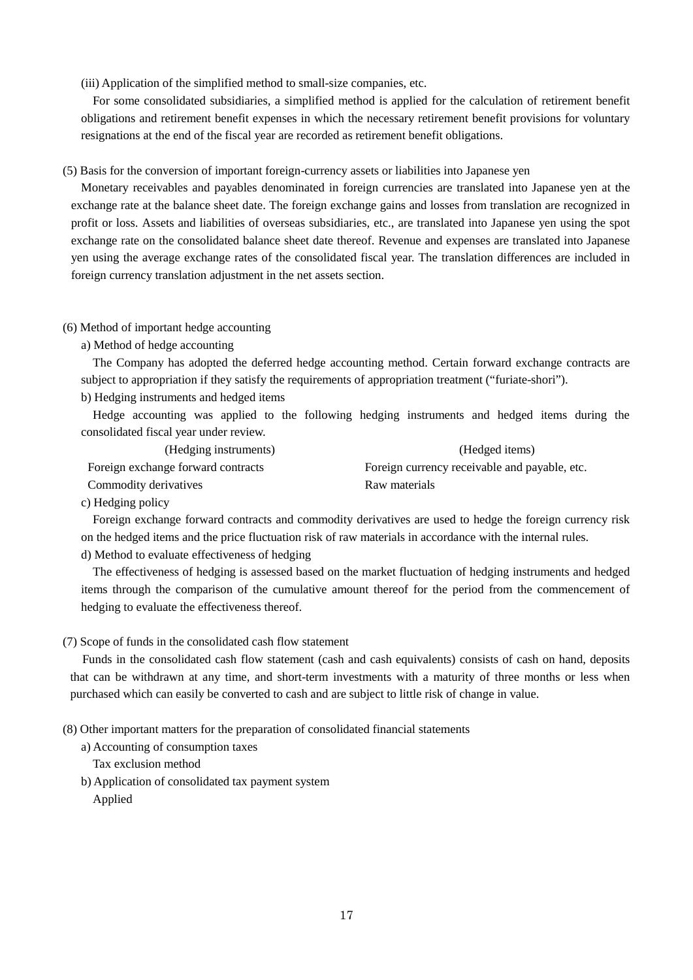(iii) Application of the simplified method to small-size companies, etc.

For some consolidated subsidiaries, a simplified method is applied for the calculation of retirement benefit obligations and retirement benefit expenses in which the necessary retirement benefit provisions for voluntary resignations at the end of the fiscal year are recorded as retirement benefit obligations.

(5) Basis for the conversion of important foreign-currency assets or liabilities into Japanese yen

Monetary receivables and payables denominated in foreign currencies are translated into Japanese yen at the exchange rate at the balance sheet date. The foreign exchange gains and losses from translation are recognized in profit or loss. Assets and liabilities of overseas subsidiaries, etc., are translated into Japanese yen using the spot exchange rate on the consolidated balance sheet date thereof. Revenue and expenses are translated into Japanese yen using the average exchange rates of the consolidated fiscal year. The translation differences are included in foreign currency translation adjustment in the net assets section.

### (6) Method of important hedge accounting

a) Method of hedge accounting

The Company has adopted the deferred hedge accounting method. Certain forward exchange contracts are subject to appropriation if they satisfy the requirements of appropriation treatment ("furiate-shori").

b) Hedging instruments and hedged items

Hedge accounting was applied to the following hedging instruments and hedged items during the consolidated fiscal year under review.

- (Hedging instruments) (Hedged items) Foreign exchange forward contracts Foreign currency receivable and payable, etc. Commodity derivatives Raw materials
- c) Hedging policy

Foreign exchange forward contracts and commodity derivatives are used to hedge the foreign currency risk on the hedged items and the price fluctuation risk of raw materials in accordance with the internal rules.

d) Method to evaluate effectiveness of hedging

The effectiveness of hedging is assessed based on the market fluctuation of hedging instruments and hedged items through the comparison of the cumulative amount thereof for the period from the commencement of hedging to evaluate the effectiveness thereof.

### (7) Scope of funds in the consolidated cash flow statement

Funds in the consolidated cash flow statement (cash and cash equivalents) consists of cash on hand, deposits that can be withdrawn at any time, and short-term investments with a maturity of three months or less when purchased which can easily be converted to cash and are subject to little risk of change in value.

(8) Other important matters for the preparation of consolidated financial statements

a) Accounting of consumption taxes

Tax exclusion method

b) Application of consolidated tax payment system

Applied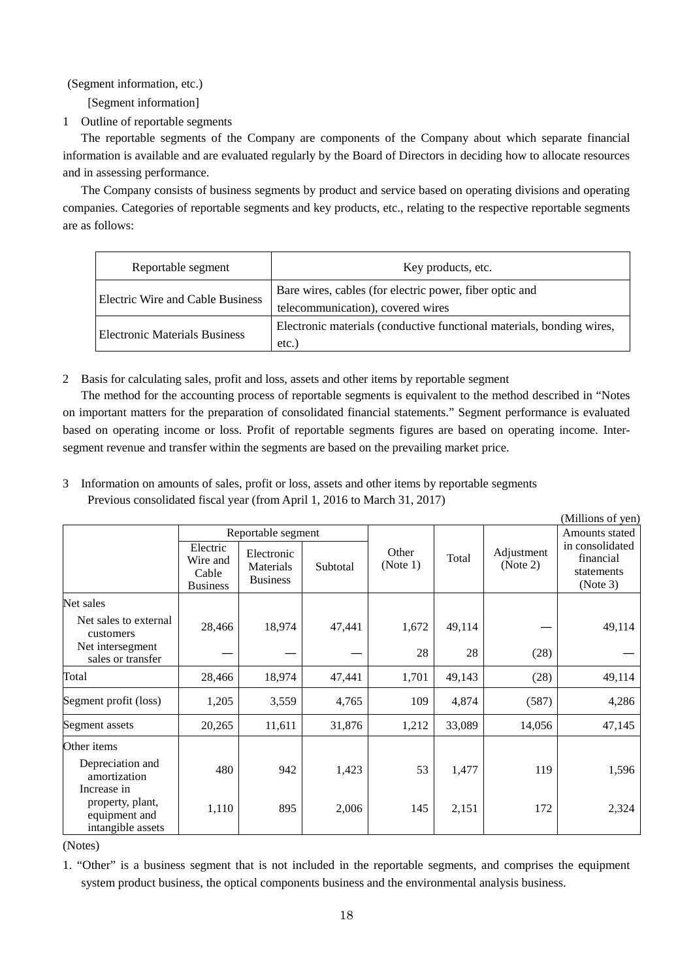<span id="page-21-0"></span>(Segment information, etc.)

[Segment information]

1 Outline of reportable segments

The reportable segments of the Company are components of the Company about which separate financial information is available and are evaluated regularly by the Board of Directors in deciding how to allocate resources and in assessing performance.

The Company consists of business segments by product and service based on operating divisions and operating companies. Categories of reportable segments and key products, etc., relating to the respective reportable segments are as follows:

| Reportable segment                   | Key products, etc.                                                                           |
|--------------------------------------|----------------------------------------------------------------------------------------------|
| Electric Wire and Cable Business     | Bare wires, cables (for electric power, fiber optic and<br>telecommunication), covered wires |
| <b>Electronic Materials Business</b> | Electronic materials (conductive functional materials, bonding wires,<br>etc.                |

2 Basis for calculating sales, profit and loss, assets and other items by reportable segment

The method for the accounting process of reportable segments is equivalent to the method described in "Notes on important matters for the preparation of consolidated financial statements." Segment performance is evaluated based on operating income or loss. Profit of reportable segments figures are based on operating income. Intersegment revenue and transfer within the segments are based on the prevailing market price.

3 Information on amounts of sales, profit or loss, assets and other items by reportable segments Previous consolidated fiscal year (from April 1, 2016 to March 31, 2017)

|                                                        | (Millions of yen)                                |                                            |          |                   |        |                        |                                                        |
|--------------------------------------------------------|--------------------------------------------------|--------------------------------------------|----------|-------------------|--------|------------------------|--------------------------------------------------------|
|                                                        | Reportable segment                               |                                            |          |                   |        |                        | Amounts stated                                         |
|                                                        | Electric<br>Wire and<br>Cable<br><b>Business</b> | Electronic<br>Materials<br><b>Business</b> | Subtotal | Other<br>(Note 1) | Total  | Adjustment<br>(Note 2) | in consolidated<br>financial<br>statements<br>(Note 3) |
| Net sales                                              |                                                  |                                            |          |                   |        |                        |                                                        |
| Net sales to external<br>customers                     | 28,466                                           | 18,974                                     | 47,441   | 1,672             | 49,114 |                        | 49,114                                                 |
| Net intersegment<br>sales or transfer                  |                                                  |                                            |          | 28                | 28     | (28)                   |                                                        |
| Total                                                  | 28,466                                           | 18,974                                     | 47,441   | 1,701             | 49,143 | (28)                   | 49,114                                                 |
| Segment profit (loss)                                  | 1,205                                            | 3,559                                      | 4,765    | 109               | 4,874  | (587)                  | 4,286                                                  |
| Segment assets                                         | 20,265                                           | 11,611                                     | 31,876   | 1,212             | 33,089 | 14,056                 | 47,145                                                 |
| Other items                                            |                                                  |                                            |          |                   |        |                        |                                                        |
| Depreciation and<br>amortization<br>Increase in        | 480                                              | 942                                        | 1,423    | 53                | 1,477  | 119                    | 1,596                                                  |
| property, plant,<br>equipment and<br>intangible assets | 1,110                                            | 895                                        | 2,006    | 145               | 2,151  | 172                    | 2,324                                                  |

(Notes)

1. "Other" is a business segment that is not included in the reportable segments, and comprises the equipment system product business, the optical components business and the environmental analysis business.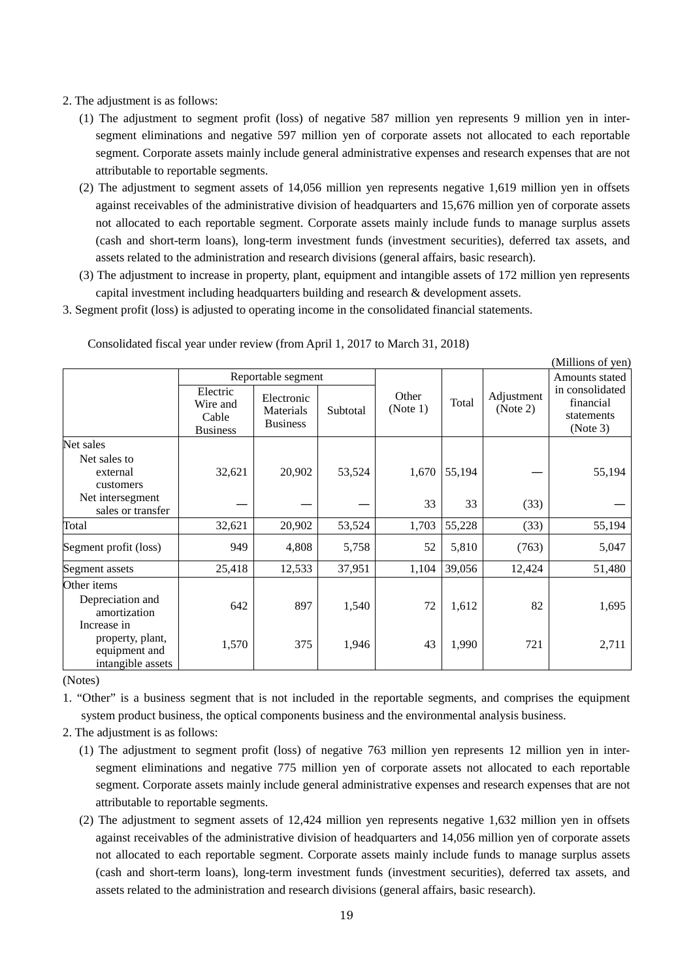### 2. The adjustment is as follows:

- (1) The adjustment to segment profit (loss) of negative 587 million yen represents 9 million yen in intersegment eliminations and negative 597 million yen of corporate assets not allocated to each reportable segment. Corporate assets mainly include general administrative expenses and research expenses that are not attributable to reportable segments.
- (2) The adjustment to segment assets of 14,056 million yen represents negative 1,619 million yen in offsets against receivables of the administrative division of headquarters and 15,676 million yen of corporate assets not allocated to each reportable segment. Corporate assets mainly include funds to manage surplus assets (cash and short-term loans), long-term investment funds (investment securities), deferred tax assets, and assets related to the administration and research divisions (general affairs, basic research).
- (3) The adjustment to increase in property, plant, equipment and intangible assets of 172 million yen represents capital investment including headquarters building and research & development assets.
- 3. Segment profit (loss) is adjusted to operating income in the consolidated financial statements.

| (Millions of yen)                                              |                                                  |                                            |          |                   |        |                        |                                                        |
|----------------------------------------------------------------|--------------------------------------------------|--------------------------------------------|----------|-------------------|--------|------------------------|--------------------------------------------------------|
|                                                                | Reportable segment                               |                                            |          |                   |        |                        | Amounts stated                                         |
|                                                                | Electric<br>Wire and<br>Cable<br><b>Business</b> | Electronic<br>Materials<br><b>Business</b> | Subtotal | Other<br>(Note 1) | Total  | Adjustment<br>(Note 2) | in consolidated<br>financial<br>statements<br>(Note 3) |
| Net sales                                                      |                                                  |                                            |          |                   |        |                        |                                                        |
| Net sales to<br>external<br>customers                          | 32,621                                           | 20,902                                     | 53,524   | 1,670             | 55,194 |                        | 55,194                                                 |
| Net intersegment<br>sales or transfer                          |                                                  |                                            |          | 33                | 33     | (33)                   |                                                        |
| Total                                                          | 32,621                                           | 20,902                                     | 53,524   | 1,703             | 55,228 | (33)                   | 55,194                                                 |
| Segment profit (loss)                                          | 949                                              | 4,808                                      | 5,758    | 52                | 5,810  | (763)                  | 5,047                                                  |
| Segment assets                                                 | 25,418                                           | 12,533                                     | 37,951   | 1,104             | 39,056 | 12,424                 | 51,480                                                 |
| Other items<br>Depreciation and<br>amortization<br>Increase in | 642                                              | 897                                        | 1,540    | 72                | 1,612  | 82                     | 1,695                                                  |
| property, plant,<br>equipment and<br>intangible assets         | 1,570                                            | 375                                        | 1,946    | 43                | 1,990  | 721                    | 2,711                                                  |

Consolidated fiscal year under review (from April 1, 2017 to March 31, 2018)

(Notes)

1. "Other" is a business segment that is not included in the reportable segments, and comprises the equipment system product business, the optical components business and the environmental analysis business.

- 2. The adjustment is as follows:
	- (1) The adjustment to segment profit (loss) of negative 763 million yen represents 12 million yen in intersegment eliminations and negative 775 million yen of corporate assets not allocated to each reportable segment. Corporate assets mainly include general administrative expenses and research expenses that are not attributable to reportable segments.
	- (2) The adjustment to segment assets of 12,424 million yen represents negative 1,632 million yen in offsets against receivables of the administrative division of headquarters and 14,056 million yen of corporate assets not allocated to each reportable segment. Corporate assets mainly include funds to manage surplus assets (cash and short-term loans), long-term investment funds (investment securities), deferred tax assets, and assets related to the administration and research divisions (general affairs, basic research).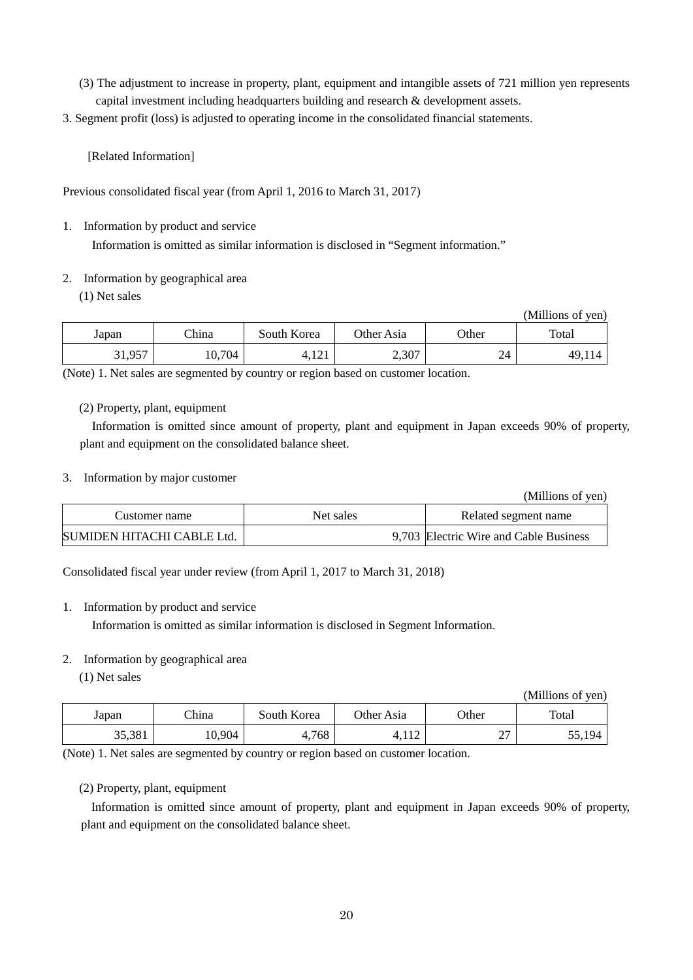(3) The adjustment to increase in property, plant, equipment and intangible assets of 721 million yen represents capital investment including headquarters building and research & development assets.

3. Segment profit (loss) is adjusted to operating income in the consolidated financial statements.

[Related Information]

Previous consolidated fiscal year (from April 1, 2016 to March 31, 2017)

1. Information by product and service

Information is omitted as similar information is disclosed in "Segment information."

- 2. Information by geographical area
	- (1) Net sales

|        |              |                |            |              | (Millions of yen) |
|--------|--------------|----------------|------------|--------------|-------------------|
| Japan  | <b>China</b> | South Korea    | Other Asia | <b>Other</b> | Total             |
| 31,957 | 10,704       | 1 7 1<br>4,⊥∠⊥ | 2,307      | 24           | 49,114            |

(Note) 1. Net sales are segmented by country or region based on customer location.

(2) Property, plant, equipment

Information is omitted since amount of property, plant and equipment in Japan exceeds 90% of property, plant and equipment on the consolidated balance sheet.

3. Information by major customer

(Millions of yen)

| Customer name              | Net sales | Related segment name                   |
|----------------------------|-----------|----------------------------------------|
| SUMIDEN HITACHI CABLE Ltd. |           | 9,703 Electric Wire and Cable Business |

Consolidated fiscal year under review (from April 1, 2017 to March 31, 2018)

## 1. Information by product and service

Information is omitted as similar information is disclosed in Segment Information.

2. Information by geographical area

(1) Net sales

| (Millions of yen) |  |
|-------------------|--|
|-------------------|--|

| Japan  | China  | South Korea | Other Asia             | Other                              | Total        |
|--------|--------|-------------|------------------------|------------------------------------|--------------|
| 35,381 | 10,904 | 4,768       | $\sim$<br>. <i>. .</i> | $\sim$<br>$\overline{\phantom{a}}$ | 194<br>۰,۰,۰ |

(Note) 1. Net sales are segmented by country or region based on customer location.

## (2) Property, plant, equipment

Information is omitted since amount of property, plant and equipment in Japan exceeds 90% of property, plant and equipment on the consolidated balance sheet.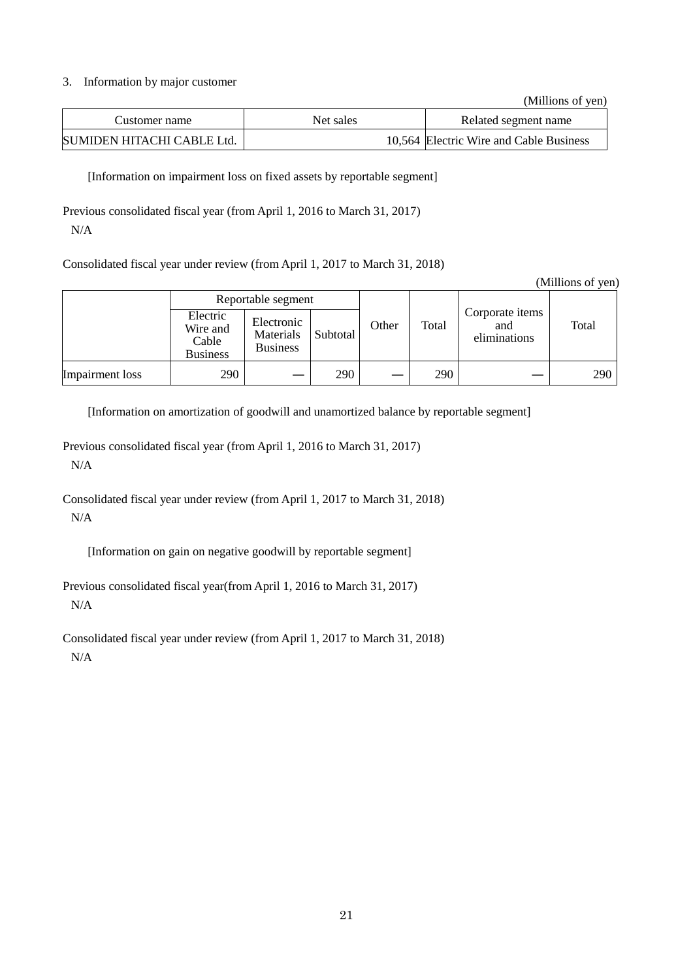### 3. Information by major customer

(Millions of yen)

| Customer name              | Net sales | Related segment name                    |
|----------------------------|-----------|-----------------------------------------|
| SUMIDEN HITACHI CABLE Ltd. |           | 10,564 Electric Wire and Cable Business |

[Information on impairment loss on fixed assets by reportable segment]

Previous consolidated fiscal year (from April 1, 2016 to March 31, 2017) N/A

Consolidated fiscal year under review (from April 1, 2017 to March 31, 2018)

|                 |                                                  |                                            |          |       |       |                                        | (Millions of yen) |
|-----------------|--------------------------------------------------|--------------------------------------------|----------|-------|-------|----------------------------------------|-------------------|
|                 |                                                  | Reportable segment                         |          |       |       |                                        |                   |
|                 | Electric<br>Wire and<br>Cable<br><b>Business</b> | Electronic<br>Materials<br><b>Business</b> | Subtotal | Other | Total | Corporate items<br>and<br>eliminations | Total             |
| Impairment loss | 290                                              |                                            | 290      |       | 290   |                                        | 290               |

[Information on amortization of goodwill and unamortized balance by reportable segment]

Previous consolidated fiscal year (from April 1, 2016 to March 31, 2017) N/A

Consolidated fiscal year under review (from April 1, 2017 to March 31, 2018) N/A

[Information on gain on negative goodwill by reportable segment]

Previous consolidated fiscal year(from April 1, 2016 to March 31, 2017) N/A

Consolidated fiscal year under review (from April 1, 2017 to March 31, 2018)

N/A